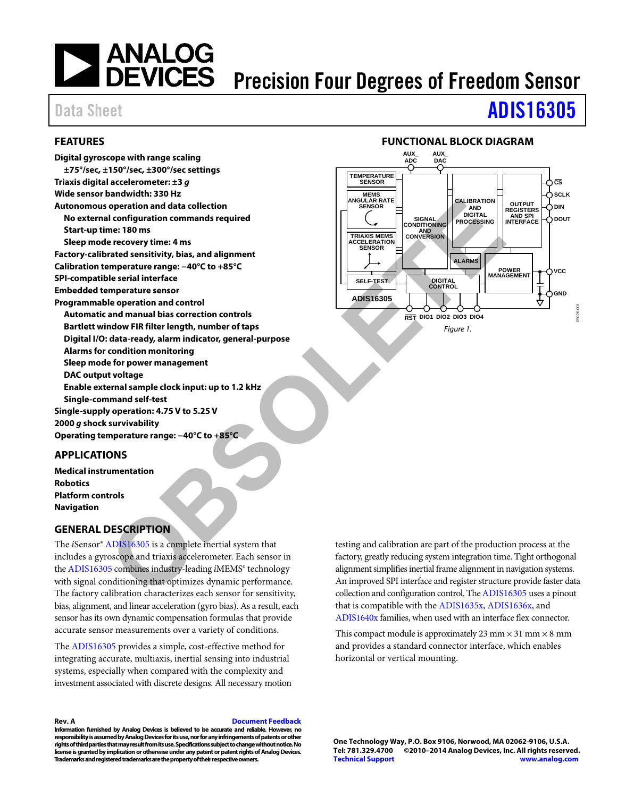# | ANALOG<br>| DEVICES

# Precision Four Degrees of Freedom Sensor

# Data Sheet **[ADIS16305](http://www.analog.com/ADIS16305?doc=ADIS16305.pdf)**

#### <span id="page-0-0"></span>**FEATURES**

**Digital gyroscope with range scaling ±75°/sec, ±150°/sec, ±300°/sec settings Triaxis digital accelerometer: ±3 g Wide sensor bandwidth: 330 Hz Autonomous operation and data collection No external configuration commands required Start-up time: 180 ms Sleep mode recovery time: 4 ms Factory-calibrated sensitivity, bias, and alignment Calibration temperature range: −40°C to +85°C SPI-compatible serial interface Embedded temperature sensor Programmable operation and control Automatic and manual bias correction controls Bartlett window FIR filter length, number of taps Digital I/O: data-ready, alarm indicator, general-purpose Alarms for condition monitoring Sleep mode for power management DAC output voltage Enable external sample clock input: up to 1.2 kHz Single-command self-test Single-supply operation: 4.75 V to 5.25 V 2000 g shock survivability Operating temperature range: −40°C to +85°C C[O](http://www.analog.com/ADIS16305?doc=ADIS16305.pdf)NSIDERING CONSIDERING CONSIDERATION**<br> **CONSIDERING CONSIDERING CONSIDERING CONSIDERING CONSIDERING CONSIDERING CONSIDERING CONSIDERING CONSIDERING CONSIDERING CONSIDERING CONSIDERING CONSIDERING CONSIDERING CONSIDERING** 

#### <span id="page-0-1"></span>**APPLICATIONS**

**Medical instrumentation Robotics Platform controls Navigation** 

#### <span id="page-0-3"></span>**GENERAL DESCRIPTION**

The *i*Sensor® ADIS16305 is a complete inertial system that includes a gyroscope and triaxis accelerometer. Each sensor in th[e ADIS16305 c](http://www.analog.com/ADIS16305?doc=ADIS16305.pdf)ombines industry-leading *i*MEMS® technology with signal conditioning that optimizes dynamic performance. The factory calibration characterizes each sensor for sensitivity, bias, alignment, and linear acceleration (gyro bias). As a result, each sensor has its own dynamic compensation formulas that provide accurate sensor measurements over a variety of conditions.

The [ADIS16305](http://www.analog.com/ADIS16305?doc=ADIS16305.pdf) provides a simple, cost-effective method for integrating accurate, multiaxis, inertial sensing into industrial systems, especially when compared with the complexity and investment associated with discrete designs. All necessary motion

#### **Rev. A [Document Feedback](https://form.analog.com/Form_Pages/feedback/documentfeedback.aspx?doc=ADIS16305.pdf&product=ADIS16305&rev=A)  Information furnished by Analog Devices is believed to be accurate and reliable. However, no responsibility is assumed by Analog Devices for its use, nor for any infringements of patents or other rights of third parties that may result from its use. Specifications subject to change without notice. No license is granted by implication or otherwise under any patent or patent rights of Analog Devices. Trademarks and registered trademarks are the property of their respective owners.**

#### **FUNCTIONAL BLOCK DIAGRAM**

<span id="page-0-2"></span>

testing and calibration are part of the production process at the factory, greatly reducing system integration time. Tight orthogonal alignment simplifies inertial frame alignment in navigation systems. An improved SPI interface and register structure provide faster data collection and configuration control. Th[e ADIS16305 u](http://www.analog.com/ADIS16305?doc=ADIS16305.pdf)ses a pinout that is compatible with th[e ADIS1635x,](http://www.analog.com/ADIS1635?doc=ADIS16305.pdf) [ADIS1636x,](http://www.analog.com/ADIS1636?doc=ADIS16305.pdf) and [ADIS1640x](http://www.analog.com/ADIS1640?doc=ADIS16305.pdf) families, when used with an interface flex connector.

This compact module is approximately 23 mm  $\times$  31 mm  $\times$  8 mm and provides a standard connector interface, which enables horizontal or vertical mounting.

**One Technology Way, P.O. Box 9106, Norwood, MA 02062-9106, U.S.A.**  ©2010-2014 Analog Devices, Inc. All rights reserved. **[Technical Support](http://www.analog.com/en/content/technical_support_page/fca.html) [www.analog.com](http://www.analog.com/)**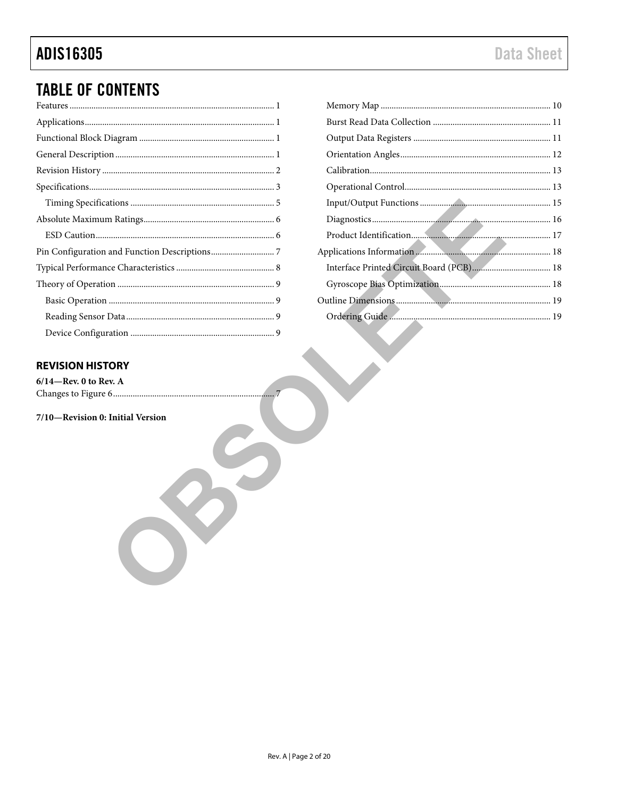# **ADIS16305**

# **TABLE OF CONTENTS**

#### <span id="page-1-0"></span>**REVISION HISTORY**

 $6/14$  —Rev. 0 to Rev. A 

7/10-Revision 0: Initial Version

. . . . . 7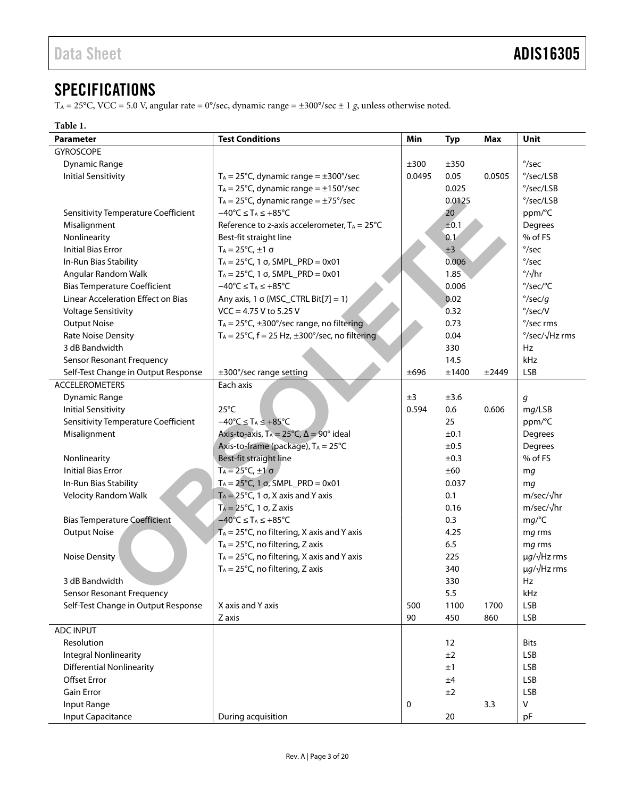# <span id="page-2-0"></span>**SPECIFICATIONS**

T<sub>A</sub> = 25°C, VCC = 5.0 V, angular rate = 0°/sec, dynamic range =  $\pm 300^{\circ}/\text{sec} \pm 1$  g, unless otherwise noted.

#### <span id="page-2-1"></span>**Table 1.**

| <b>Parameter</b>                    | <b>Test Conditions</b>                                                | Min    | <b>Typ</b> | <b>Max</b> | Unit                      |
|-------------------------------------|-----------------------------------------------------------------------|--------|------------|------------|---------------------------|
| <b>GYROSCOPE</b>                    |                                                                       |        |            |            |                           |
| <b>Dynamic Range</b>                |                                                                       | ±300   | ±350       |            | $\degree$ /sec            |
| <b>Initial Sensitivity</b>          | $T_A = 25^{\circ}$ C, dynamic range = $\pm 300^{\circ}$ /sec          | 0.0495 | 0.05       | 0.0505     | $\degree$ /sec/LSB        |
|                                     | $T_A = 25^{\circ}C$ , dynamic range = $\pm 150^{\circ}$ /sec          |        | 0.025      |            | $\degree$ /sec/LSB        |
|                                     | $T_A = 25^{\circ}C$ , dynamic range = $\pm$ 75°/sec                   |        | 0.0125     |            | $\degree$ /sec/LSB        |
| Sensitivity Temperature Coefficient | $-40^{\circ}C \leq T_A \leq +85^{\circ}C$                             |        | 20         |            | ppm/°C                    |
| Misalignment                        | Reference to z-axis accelerometer, $T_A = 25^{\circ}C$                |        | ±0.1       |            | Degrees                   |
| Nonlinearity                        | Best-fit straight line                                                |        | 0.1        |            | % of FS                   |
| <b>Initial Bias Error</b>           | $T_A = 25^{\circ}C, \pm 1 \sigma$                                     |        | ±3         |            | $\degree$ /sec            |
| In-Run Bias Stability               | $T_A = 25^{\circ}$ C, 1 σ, SMPL_PRD = 0x01                            |        | 0.006      |            | $\degree$ /sec            |
| Angular Random Walk                 | $T_A = 25^{\circ}$ C, 1 σ, SMPL_PRD = 0x01                            |        | 1.85       |            | $\frac{\circ}{\sqrt{hr}}$ |
| <b>Bias Temperature Coefficient</b> | $-40^{\circ}C \leq T_A \leq +85^{\circ}C$                             |        | 0.006      |            | °/sec/°C                  |
| Linear Acceleration Effect on Bias  | Any axis, 1 $\sigma$ (MSC_CTRL Bit[7] = 1)                            |        | 0.02       |            | $\degree$ /sec/g          |
| <b>Voltage Sensitivity</b>          | $VCC = 4.75 V to 5.25 V$                                              |        | 0.32       |            | $\degree$ /sec/V          |
| <b>Output Noise</b>                 | $T_A = 25^{\circ}C$ , ±300°/sec range, no filtering                   |        | 0.73       |            | °/sec rms                 |
| Rate Noise Density                  | $T_A = 25^{\circ}$ C, f = 25 Hz, $\pm 300^{\circ}$ /sec, no filtering |        | 0.04       |            | °/sec/√Hz rms             |
| 3 dB Bandwidth                      |                                                                       |        | 330        |            | Hz                        |
| <b>Sensor Resonant Frequency</b>    |                                                                       |        | 14.5       |            | kHz                       |
| Self-Test Change in Output Response | ±300°/sec range setting                                               | ±696   | ±1400      | ±2449      | <b>LSB</b>                |
| <b>ACCELEROMETERS</b>               | Each axis                                                             |        |            |            |                           |
| <b>Dynamic Range</b>                |                                                                       | ±3     | ±3.6       |            | g                         |
| <b>Initial Sensitivity</b>          | $25^{\circ}$ C                                                        | 0.594  | 0.6        | 0.606      | mg/LSB                    |
| Sensitivity Temperature Coefficient | $-40^{\circ}C \leq T_A \leq +85^{\circ}C$                             |        | 25         |            | ppm/°C                    |
| Misalignment                        | Axis-to-axis, $T_A = 25^{\circ}C$ , $\Delta = 90^{\circ}$ ideal       |        | ±0.1       |            | Degrees                   |
|                                     | Axis-to-frame (package), TA = 25°C                                    |        | ±0.5       |            | Degrees                   |
| Nonlinearity                        | Best-fit straight line                                                |        | ±0.3       |            | % of FS                   |
| <b>Initial Bias Error</b>           | $T_A = 25^{\circ}C, \pm 1\sigma$                                      |        | ±60        |            | mg                        |
| In-Run Bias Stability               | $T_A = 25^{\circ}$ C, 1 σ, SMPL_PRD = 0x01                            |        | 0.037      |            | mq                        |
| Velocity Random Walk                | $T_A = 25^{\circ}C$ , 1 $\sigma$ , X axis and Y axis                  |        | 0.1        |            | m/sec/√hr                 |
|                                     | $T_A = 25^{\circ}C$ , 1 $\sigma$ , Z axis                             |        | 0.16       |            | $m/sec/\sqrt{hr}$         |
| <b>Bias Temperature Coefficient</b> | $-40^{\circ}$ C $\leq$ T <sub>A</sub> $\leq$ +85°C                    |        | 0.3        |            | mg/C                      |
| <b>Output Noise</b>                 | $\overline{A}_A$ = 25°C, no filtering, X axis and Y axis              |        | 4.25       |            | mg rms                    |
|                                     | $T_A = 25^{\circ}C$ , no filtering, Z axis                            |        | 6.5        |            | mg rms                    |
| <b>Noise Density</b>                | $T_A = 25^{\circ}C$ , no filtering, X axis and Y axis                 |        | 225        |            | $\mu q / \sqrt{Hz}$ rms   |
|                                     | $T_A = 25^{\circ}C$ , no filtering, Z axis                            |        | 340        |            | $\mu q/\sqrt{Hz}$ rms     |
| 3 dB Bandwidth                      |                                                                       |        | 330        |            | Hz                        |
| <b>Sensor Resonant Frequency</b>    |                                                                       |        | 5.5        |            | kHz                       |
| Self-Test Change in Output Response | X axis and Y axis                                                     | 500    | 1100       | 1700       | <b>LSB</b>                |
|                                     | Z axis                                                                | 90     | 450        | 860        | <b>LSB</b>                |
| <b>ADC INPUT</b>                    |                                                                       |        |            |            |                           |
| Resolution                          |                                                                       |        | 12         |            | <b>Bits</b>               |
| <b>Integral Nonlinearity</b>        |                                                                       |        | ±2         |            | <b>LSB</b>                |
| <b>Differential Nonlinearity</b>    |                                                                       |        | ±1         |            | <b>LSB</b>                |
| <b>Offset Error</b>                 |                                                                       |        | ±4         |            | <b>LSB</b>                |
| <b>Gain Error</b>                   |                                                                       |        | ±2         |            | <b>LSB</b>                |
| Input Range                         |                                                                       | 0      |            | 3.3        | V                         |
| Input Capacitance                   | During acquisition                                                    |        | $20\,$     |            | pF                        |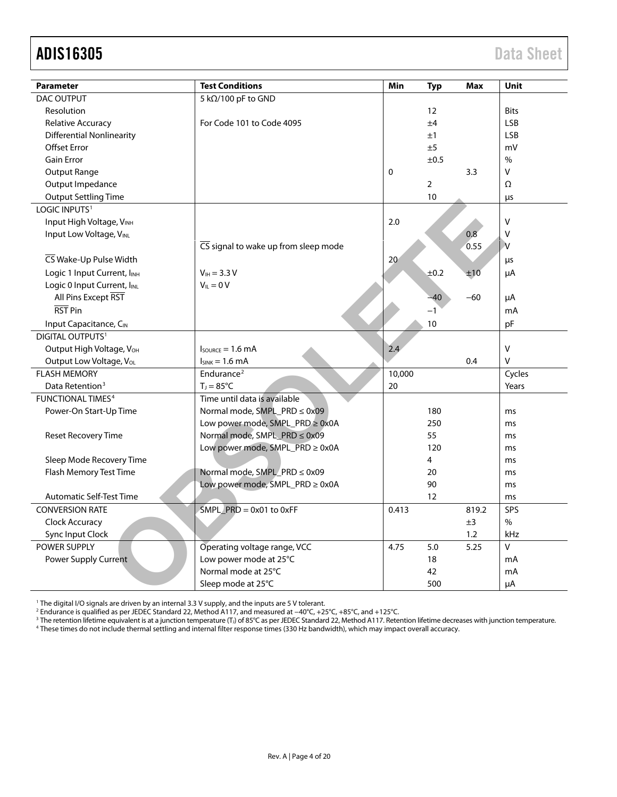| <b>Parameter</b>                        | <b>Test Conditions</b>                                   | Min    | <b>Typ</b>     | <b>Max</b> | Unit                    |
|-----------------------------------------|----------------------------------------------------------|--------|----------------|------------|-------------------------|
| <b>DAC OUTPUT</b>                       | 5 kΩ/100 pF to GND                                       |        |                |            |                         |
| Resolution                              |                                                          |        | 12             |            | <b>Bits</b>             |
| <b>Relative Accuracy</b>                | For Code 101 to Code 4095                                |        | ±4             |            | <b>LSB</b>              |
| <b>Differential Nonlinearity</b>        |                                                          |        | ±1             |            | <b>LSB</b>              |
| <b>Offset Error</b>                     |                                                          |        | ±5             |            | mV                      |
| <b>Gain Error</b>                       |                                                          |        | ±0.5           |            | $\frac{0}{0}$           |
| <b>Output Range</b>                     |                                                          | 0      |                | 3.3        | V                       |
| Output Impedance                        |                                                          |        | $\overline{2}$ |            | Ω                       |
| <b>Output Settling Time</b>             |                                                          |        | 10             |            | μs                      |
| LOGIC INPUTS <sup>1</sup>               |                                                          |        |                |            |                         |
| Input High Voltage, VINH                |                                                          | 2.0    |                |            | $\mathsf{V}$            |
| Input Low Voltage, VINL                 |                                                          |        |                | 0.8        | V                       |
|                                         | $\overline{\text{CS}}$ signal to wake up from sleep mode |        |                | 0.55       | $\overline{\mathsf{v}}$ |
| CS Wake-Up Pulse Width                  |                                                          | 20     |                |            | μs                      |
| Logic 1 Input Current, IINH             | $V_{\text{IH}} = 3.3 V$                                  |        | ±0.2           | ±10        | μA                      |
| Logic 0 Input Current, I <sub>INL</sub> | $V_{IL} = 0 V$                                           |        |                |            |                         |
| All Pins Except RST                     |                                                          |        | $-40$          | $-60$      | μA                      |
| RST Pin                                 |                                                          |        | $-1$           |            | mA                      |
| Input Capacitance, CIN                  |                                                          |        | 10             |            | pF                      |
| <b>DIGITAL OUTPUTS1</b>                 |                                                          |        |                |            |                         |
| Output High Voltage, V <sub>OH</sub>    | $I_{\text{SOLRCE}} = 1.6 \text{ mA}$                     | 2.4    |                |            | $\sf V$                 |
| Output Low Voltage, Vol.                | $I_{SINK} = 1.6$ mA                                      |        |                | 0.4        | $\vee$                  |
| <b>FLASH MEMORY</b>                     | Endurance <sup>2</sup>                                   | 10,000 |                |            | Cycles                  |
| Data Retention <sup>3</sup>             | $T_J = 85^{\circ}C$                                      | 20     |                |            | Years                   |
| <b>FUNCTIONAL TIMES4</b>                | Time until data is available                             |        |                |            |                         |
| Power-On Start-Up Time                  | Normal mode, SMPL_PRD ≤ 0x09                             |        | 180            |            | ms                      |
|                                         | Low power mode, SMPL_PRD ≥ 0x0A                          |        | 250            |            | ms                      |
| Reset Recovery Time                     | Normal mode, SMPL_PRD ≤ 0x09                             |        | 55             |            | ms                      |
|                                         | Low power mode, SMPL_PRD ≥ 0x0A                          |        | 120            |            | ms                      |
| Sleep Mode Recovery Time                |                                                          |        | 4              |            | ms                      |
| Flash Memory Test Time                  | Normal mode, SMPL_PRD ≤ 0x09                             |        | 20             |            | ms                      |
|                                         | Low power mode, SMPL_PRD ≥ 0x0A                          |        | 90             |            | ms                      |
| <b>Automatic Self-Test Time</b>         |                                                          |        | 12             |            | ms                      |
| <b>CONVERSION RATE</b>                  | $SMPL$ PRD = 0x01 to 0xFF                                | 0.413  |                | 819.2      | SPS                     |
| Clock Accuracy                          |                                                          |        |                | ±3         | $\%$                    |
| Sync Input Clock                        |                                                          |        |                | 1.2        | <b>kHz</b>              |
| POWER SUPPLY                            | Operating voltage range, VCC                             | 4.75   | 5.0            | 5.25       | V                       |
| Power Supply Current                    | Low power mode at 25°C                                   |        | 18             |            | mA                      |
|                                         | Normal mode at 25°C                                      |        | 42             |            | mA                      |
|                                         | Sleep mode at 25°C                                       |        | 500            |            | μA                      |

<sup>1</sup> The digital I/O signals are driven by an internal 3.3 V supply, and the inputs are 5 V tolerant.

<sup>2</sup> Endurance is qualified as per JEDEC Standard 22, Method A117, and measured at −40°C, +25°C, +85°C, and +125°C.<br><sup>3</sup> The retention lifetime equivalent is at a junction temperature (T,) of 85°C as per JEDEC Standard 22,

<sup>4</sup> These times do not include thermal settling and internal filter response times (330 Hz bandwidth), which may impact overall accuracy.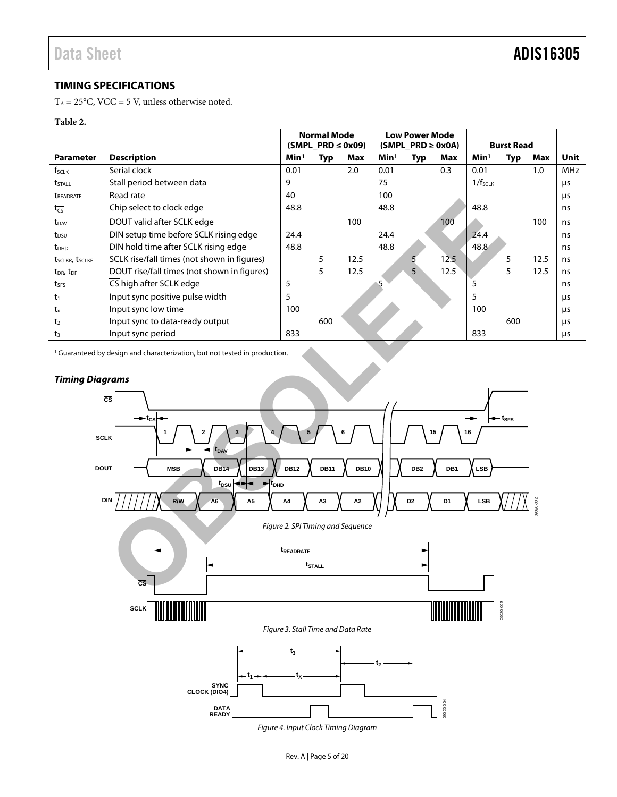09020-002

9020-002

#### <span id="page-4-0"></span>**TIMING SPECIFICATIONS**

 $T_A = 25$ °C, VCC = 5 V, unless otherwise noted.

#### <span id="page-4-1"></span>**Table 2.**

|                                         |                                             |                  | <b>Normal Mode</b>     |      |                  | <b>Low Power Mode</b>  |      |                     |                   |      |            |
|-----------------------------------------|---------------------------------------------|------------------|------------------------|------|------------------|------------------------|------|---------------------|-------------------|------|------------|
|                                         |                                             |                  | $(SMPL PRD \leq 0x09)$ |      |                  | $(SMPL PRD \geq 0x0A)$ |      |                     | <b>Burst Read</b> |      |            |
| <b>Parameter</b>                        | <b>Description</b>                          | Min <sup>1</sup> | <b>Typ</b>             | Max  | Min <sup>1</sup> | Typ                    | Max  | Min <sup>1</sup>    | <b>Typ</b>        | Max  | Unit       |
| f <sub>sclk</sub>                       | Serial clock                                | 0.01             |                        | 2.0  | 0.01             |                        | 0.3  | 0.01                |                   | 1.0  | <b>MHz</b> |
| tstall                                  | Stall period between data                   | 9                |                        |      | 75               |                        |      | 1/f <sub>SCLK</sub> |                   |      | μs         |
| <b><i>UREADRATE</i></b>                 | Read rate                                   | 40               |                        |      | 100              |                        |      |                     |                   |      | μs         |
| $t_{\overline{cs}}$                     | Chip select to clock edge                   | 48.8             |                        |      | 48.8             |                        |      | 48.8                |                   |      | ns         |
| t <sub>DAV</sub>                        | DOUT valid after SCLK edge                  |                  |                        | 100  |                  |                        | 100  |                     |                   | 100  | ns         |
| t <sub>DSU</sub>                        | DIN setup time before SCLK rising edge      | 24.4             |                        |      | 24.4             |                        |      | 24.4                |                   |      | ns         |
| t <sub>DHD</sub>                        | DIN hold time after SCLK rising edge        | 48.8             |                        |      | 48.8             |                        |      | 48.8                |                   |      | ns         |
| t <sub>SCLKR</sub> , t <sub>SCLKF</sub> | SCLK rise/fall times (not shown in figures) |                  | 5                      | 12.5 |                  |                        | 12.5 |                     | 5                 | 12.5 | ns         |
| t <sub>DR</sub> , t <sub>DF</sub>       | DOUT rise/fall times (not shown in figures) |                  | 5                      | 12.5 |                  | 5                      | 12.5 |                     | 5                 | 12.5 | ns         |
| t <sub>SFS</sub>                        | CS high after SCLK edge                     | 5                |                        |      |                  |                        |      | 5                   |                   |      | ns         |
| $t_1$                                   | Input sync positive pulse width             | 5                |                        |      |                  |                        |      | 5                   |                   |      | μs         |
| $t_{x}$                                 | Input sync low time                         | 100              |                        |      |                  |                        |      | 100                 |                   |      | μs         |
| t <sub>2</sub>                          | Input sync to data-ready output             |                  | 600                    |      |                  |                        |      |                     | 600               |      | μs         |
| $t_3$                                   | Input sync period                           | 833              |                        |      |                  |                        |      | 833                 |                   |      | μs         |

<sup>1</sup> Guaranteed by design and characterization, but not tested in production.



#### *Timing Diagrams*

<span id="page-4-2"></span>*Figure 4. Input Clock Timing Diagram*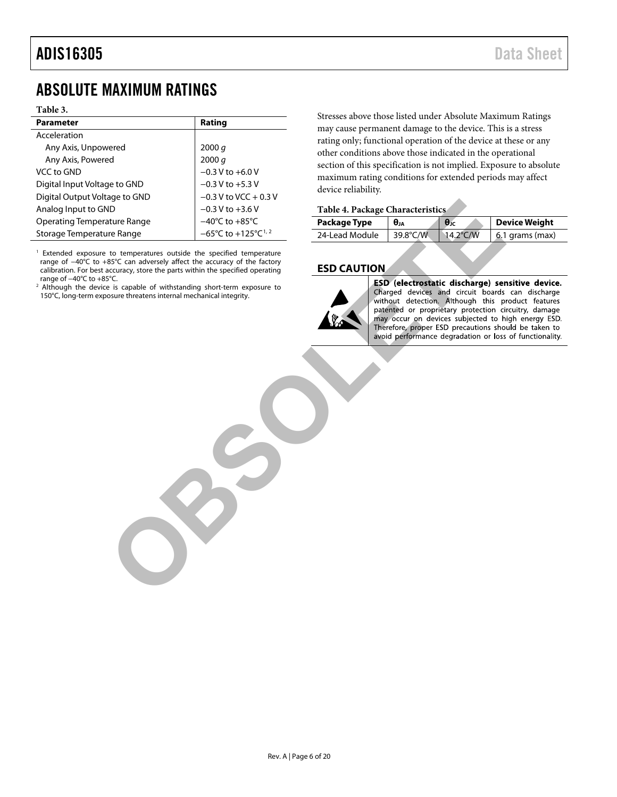# <span id="page-5-0"></span>ABSOLUTE MAXIMUM RATINGS

#### **Table 3.**

| <b>Parameter</b>                   | Rating                                               |
|------------------------------------|------------------------------------------------------|
| Acceleration                       |                                                      |
| Any Axis, Unpowered                | 2000 q                                               |
| Any Axis, Powered                  | 2000 q                                               |
| VCC to GND                         | $-0.3 V$ to $+6.0 V$                                 |
| Digital Input Voltage to GND       | $-0.3 V$ to $+5.3 V$                                 |
| Digital Output Voltage to GND      | $-0.3$ V to VCC + 0.3 V                              |
| Analog Input to GND                | $-0.3 V$ to $+3.6 V$                                 |
| <b>Operating Temperature Range</b> | $-40^{\circ}$ C to $+85^{\circ}$ C                   |
| Storage Temperature Range          | $-65^{\circ}$ C to +125 $^{\circ}$ C <sup>1, 2</sup> |

<sup>1</sup> Extended exposure to temperatures outside the specified temperature range of −40°C to +85°C can adversely affect the accuracy of the factory calibration. For best accuracy, store the parts within the specified operating range of −40°C to +85°C.

<sup>2</sup> Although the device is capable of withstanding short-term exposure to 150°C, long-term exposure threatens internal mechanical integrity.

Stresses above those listed under Absolute Maximum Ratings may cause permanent damage to the device. This is a stress rating only; functional operation of the device at these or any other conditions above those indicated in the operational section of this specification is not implied. Exposure to absolute maximum rating conditions for extended periods may affect device reliability.

#### **Table 4. Package Characteristics**

| Package Type   | Өл       | $\theta$ <sub>JC</sub> | Device Weight     |
|----------------|----------|------------------------|-------------------|
| 24-Lead Module | 39.8°C/W | 14.2°C/W               | $6.1$ grams (max) |
|                |          |                        |                   |

#### <span id="page-5-1"></span>**ESD CAUTION**



State Range<br>
ND<br>
We can also the specified temperature<br>
En converteix outside the specified temperature<br>
to temperature solidate the specified temperature<br>
to temperature outside the specified temperature<br>
to temperature o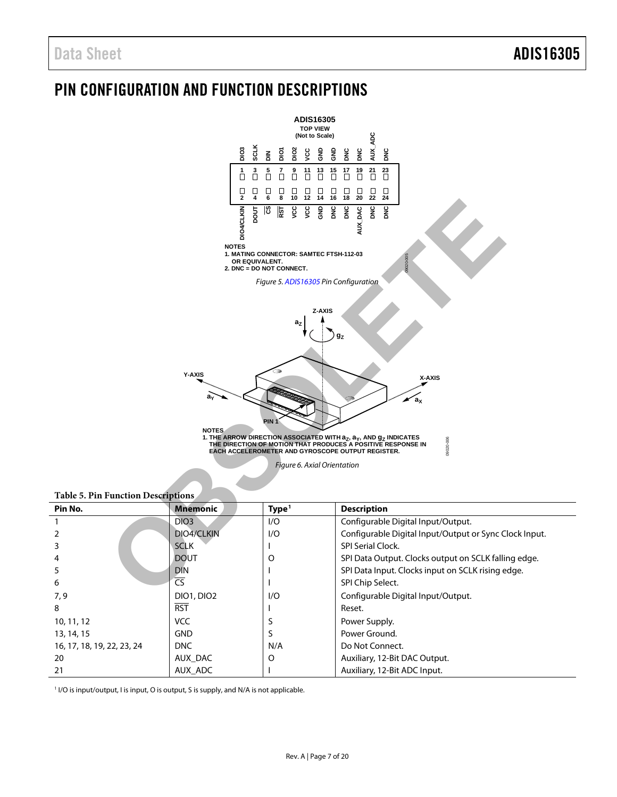# <span id="page-6-0"></span>PIN CONFIGURATION AND FUNCTION DESCRIPTIONS



<span id="page-6-1"></span>

|  | <b>Table 5 Din Eunction Descriptions</b> |  |
|--|------------------------------------------|--|

<span id="page-6-2"></span>

| raoic 9: 1 m 1 anchon Descriptions |                        |                   |                                                        |  |  |
|------------------------------------|------------------------|-------------------|--------------------------------------------------------|--|--|
| Pin No.                            | <b>Mnemonic</b>        | Type <sup>1</sup> | <b>Description</b>                                     |  |  |
|                                    | DIO <sub>3</sub>       | 1/O               | Configurable Digital Input/Output.                     |  |  |
|                                    | DIO4/CLKIN             | 1/O               | Configurable Digital Input/Output or Sync Clock Input. |  |  |
|                                    | <b>SCLK</b>            |                   | <b>SPI Serial Clock.</b>                               |  |  |
| 4                                  | <b>DOUT</b>            | Ω                 | SPI Data Output. Clocks output on SCLK falling edge.   |  |  |
| 5                                  | <b>DIN</b>             |                   | SPI Data Input. Clocks input on SCLK rising edge.      |  |  |
| 6                                  | $\overline{\text{CS}}$ |                   | SPI Chip Select.                                       |  |  |
| 7,9                                | <b>DIO1, DIO2</b>      | 1/O               | Configurable Digital Input/Output.                     |  |  |
| 8                                  | <b>RST</b>             |                   | Reset.                                                 |  |  |
| 10, 11, 12                         | <b>VCC</b>             |                   | Power Supply.                                          |  |  |
| 13, 14, 15                         | <b>GND</b>             |                   | Power Ground.                                          |  |  |
| 16, 17, 18, 19, 22, 23, 24         | <b>DNC</b>             | N/A               | Do Not Connect.                                        |  |  |
| 20                                 | AUX DAC                | O                 | Auxiliary, 12-Bit DAC Output.                          |  |  |
| 21                                 | AUX ADC                |                   | Auxiliary, 12-Bit ADC Input.                           |  |  |

<sup>1</sup> I/O is input/output, I is input, O is output, S is supply, and N/A is not applicable.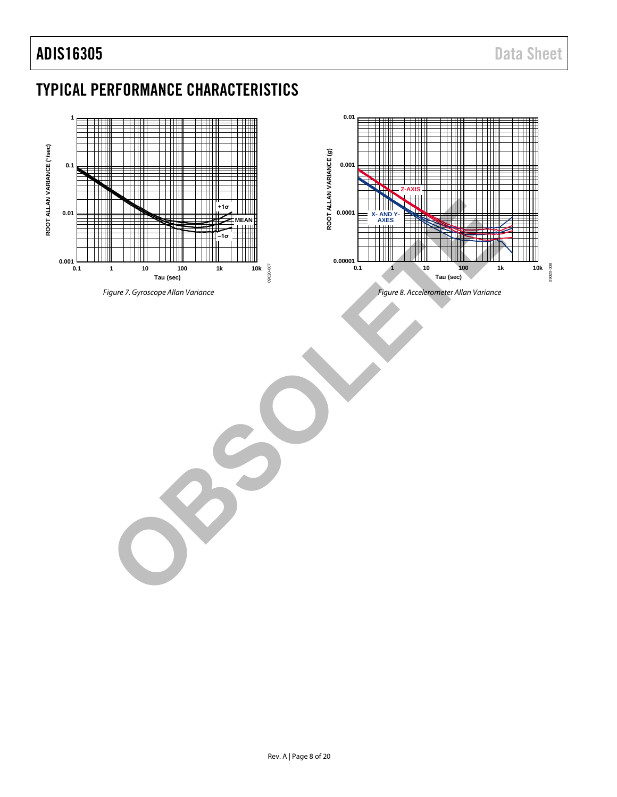# <span id="page-7-0"></span>TYPICAL PERFORMANCE CHARACTERISTICS

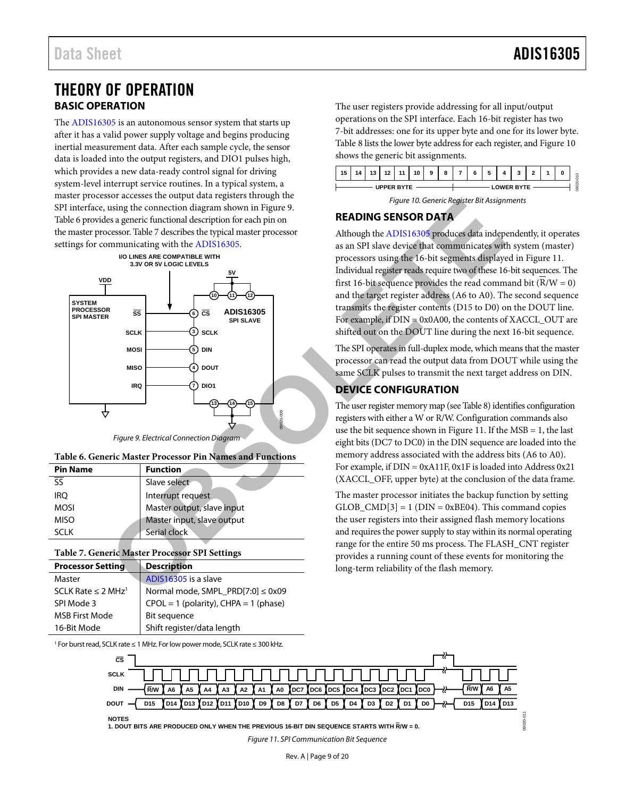## <span id="page-8-0"></span>THEORY OF OPERATION **BASIC OPERATION**

<span id="page-8-1"></span>The [ADIS16305](http://www.analog.com/ADIS16305?doc=ADIS16305.pdf) is an autonomous sensor system that starts up after it has a valid power supply voltage and begins producing inertial measurement data. After each sample cycle, the sensor data is loaded into the output registers, and DIO1 pulses high, which provides a new data-ready control signal for driving system-level interrupt service routines. In a typical system, a master processor accesses the output data registers through the SPI interface, using the connection diagram shown in Figure 9. [Table 6](#page-8-5) provides a generic functional description for each pin on the master processor. Table 7 describes the typical master processor settings for communicating with the ADIS16305.



*Figure 9. Electrical Connection Diagram*

<span id="page-8-5"></span><span id="page-8-4"></span>

|  | Table 6. Generic Master Processor Pin Names and Functions |  |  |
|--|-----------------------------------------------------------|--|--|
|  |                                                           |  |  |

| <b>Pin Name</b> | <b>Function</b>            |
|-----------------|----------------------------|
|                 | Slave select               |
| <b>IRO</b>      | Interrupt request          |
| <b>MOSI</b>     | Master output, slave input |
| <b>MISO</b>     | Master input, slave output |
| SCI K           | Serial clock               |

#### <span id="page-8-6"></span>**Table 7. Generic Master Processor SPI Settings**

| <b>Processor Setting</b>            | <b>Description</b>                        |
|-------------------------------------|-------------------------------------------|
| Master                              | ADIS16305 is a slave                      |
| SCLK Rate $\leq$ 2 MHz <sup>1</sup> | Normal mode, SMPL_PRD[7:0] ≤ 0x09         |
| SPI Mode 3                          | $CPOL = 1$ (polarity), $CHPA = 1$ (phase) |
| <b>MSB First Mode</b>               | Bit sequence                              |
| 16-Bit Mode                         | Shift register/data length                |

<sup>1</sup> For burst read, SCLK rate ≤ 1 MHz. For low power mode, SCLK rate ≤ 300 kHz.

The user registers provide addressing for all input/output operations on the SPI interface. Each 16-bit register has two 7-bit addresses: one for its upper byte and one for its lower byte. [Table 8](#page-9-1) lists the lower byte address for each register, an[d Figure 10](#page-8-7) shows the generic bit assignments.





#### <span id="page-8-7"></span><span id="page-8-2"></span>**READING SENSOR DATA**

Although the ADIS16305 produces data independently, it operates as an SPI slave device that communicates with system (master) processors using the 16-bit segments displayed in [Figure 11.](#page-8-8)  Individual register reads require two of these 16-bit sequences. The first 16-bit sequence provides the read command bit  $(R/W = 0)$ and the target register address (A6 to A0). The second sequence transmits the register contents (D15 to D0) on the DOUT line. For example, if DIN = 0x0A00, the contents of XACCL\_OUT are shifted out on the DOUT line during the next 16-bit sequence.

The SPI operates in full-duplex mode, which means that the master processor can read the output data from DOUT while using the same SCLK pulses to transmit the next target address on DIN.

#### <span id="page-8-3"></span>**DEVICE CONFIGURATION**

The user register memory map (see Table 8) identifies configuration registers with either a W or R/W. Configuration commands also use the bit sequence shown in Figure 11. If the  $MSB = 1$ , the last eight bits (DC7 to DC0) in the DIN sequence are loaded into the memory address associated with the address bits (A6 to A0). For example, if DIN = 0xA11F, 0x1F is loaded into Address 0x21 (XACCL\_OFF, upper byte) at the conclusion of the data frame.

The master processor initiates the backup function by setting GLOB  $CMD[3] = 1$  (DIN = 0xBE04). This command copies the user registers into their assigned flash memory locations and requires the power supply to stay within its normal operating range for the entire 50 ms process. The FLASH\_CNT register provides a running count of these events for monitoring the long-term reliability of the flash memory.

<span id="page-8-8"></span>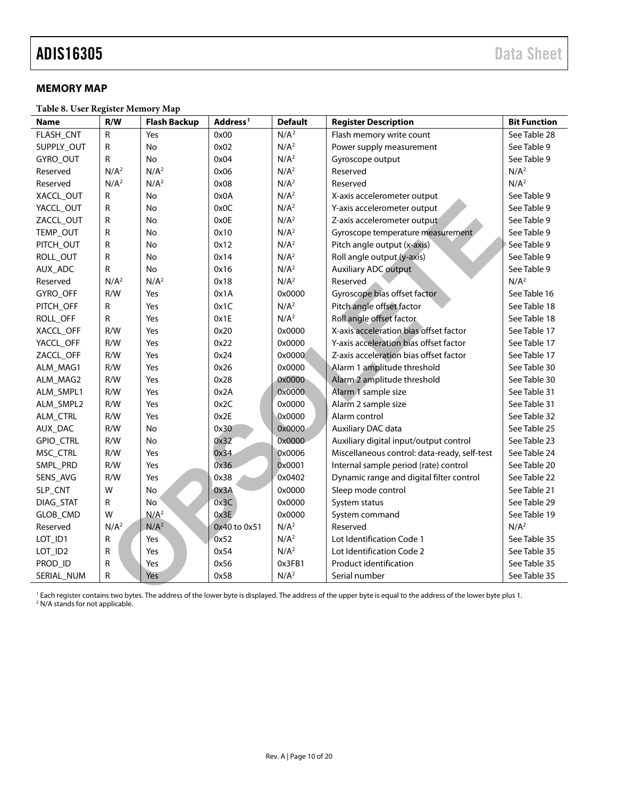#### <span id="page-9-0"></span>**MEMORY MAP**

<span id="page-9-1"></span>**Table 8. User Register Memory Map**

| <b>Name</b>     | R/W              | <b>Flash Backup</b> | Address <sup>1</sup> | <b>Default</b>   | <b>Register Description</b>                                                                                                                                                | <b>Bit Function</b> |
|-----------------|------------------|---------------------|----------------------|------------------|----------------------------------------------------------------------------------------------------------------------------------------------------------------------------|---------------------|
| FLASH_CNT       | $\mathsf{R}$     | Yes                 | 0x00                 | N/A <sup>2</sup> | Flash memory write count                                                                                                                                                   | See Table 28        |
| SUPPLY_OUT      | $\mathsf{R}$     | No                  | 0x02                 | N/A <sup>2</sup> | Power supply measurement                                                                                                                                                   | See Table 9         |
| GYRO_OUT        | R                | <b>No</b>           | 0x04                 | N/A <sup>2</sup> | Gyroscope output                                                                                                                                                           | See Table 9         |
| Reserved        | N/A <sup>2</sup> | N/A <sup>2</sup>    | 0x06                 | N/A <sup>2</sup> | Reserved                                                                                                                                                                   | N/A <sup>2</sup>    |
| Reserved        | N/A <sup>2</sup> | N/A <sup>2</sup>    | 0x08                 | N/A <sup>2</sup> | Reserved                                                                                                                                                                   | N/A <sup>2</sup>    |
| XACCL_OUT       | R                | <b>No</b>           | 0x0A                 | N/A <sup>2</sup> | X-axis accelerometer output                                                                                                                                                | See Table 9         |
| YACCL_OUT       | R                | <b>No</b>           | 0x0C                 | N/A <sup>2</sup> | Y-axis accelerometer output                                                                                                                                                | See Table 9         |
| ZACCL_OUT       | ${\sf R}$        | No                  | 0x0E                 | N/A <sup>2</sup> | Z-axis accelerometer output                                                                                                                                                | See Table 9         |
| TEMP_OUT        | ${\sf R}$        | No                  | 0x10                 | N/A <sup>2</sup> | Gyroscope temperature measurement                                                                                                                                          | See Table 9         |
| PITCH_OUT       | R                | No                  | 0x12                 | N/A <sup>2</sup> | Pitch angle output (x-axis)                                                                                                                                                | See Table 9         |
| ROLL_OUT        | R                | No                  | 0x14                 | N/A <sup>2</sup> | Roll angle output (y-axis)                                                                                                                                                 | See Table 9         |
| AUX_ADC         | R                | No                  | 0x16                 | N/A <sup>2</sup> | <b>Auxiliary ADC output</b>                                                                                                                                                | See Table 9         |
| Reserved        | N/A <sup>2</sup> | N/A <sup>2</sup>    | 0x18                 | N/A <sup>2</sup> | Reserved                                                                                                                                                                   | N/A <sup>2</sup>    |
| GYRO_OFF        | R/W              | Yes                 | 0x1A                 | 0x0000           | Gyroscope bias offset factor                                                                                                                                               | See Table 16        |
| PITCH_OFF       | R                | Yes                 | 0x1C                 | N/A <sup>2</sup> | Pitch angle offset factor                                                                                                                                                  | See Table 18        |
| ROLL_OFF        | R                | Yes                 | 0x1E                 | N/A <sup>2</sup> | Roll angle offset factor                                                                                                                                                   | See Table 18        |
| XACCL_OFF       | R/W              | Yes                 | 0x20                 | 0x0000           | X-axis acceleration bias offset factor                                                                                                                                     | See Table 17        |
| YACCL_OFF       | R/W              | Yes                 | 0x22                 | 0x0000           | Y-axis acceleration bias offset factor                                                                                                                                     | See Table 17        |
| ZACCL_OFF       | R/W              | Yes                 | 0x24                 | 0x0000           | Z-axis acceleration bias offset factor                                                                                                                                     | See Table 17        |
| ALM_MAG1        | R/W              | Yes                 | 0x26                 | 0x0000           | Alarm 1 amplitude threshold                                                                                                                                                | See Table 30        |
| ALM_MAG2        | R/W              | Yes                 | 0x28                 | 0x0000           | Alarm 2 amplitude threshold                                                                                                                                                | See Table 30        |
| ALM_SMPL1       | R/W              | Yes                 | 0x2A                 | 0x0000           | Alarm 1 sample size                                                                                                                                                        | See Table 31        |
| ALM_SMPL2       | R/W              | Yes                 | 0x2C                 | 0x0000           | Alarm 2 sample size                                                                                                                                                        | See Table 31        |
| <b>ALM CTRL</b> | R/W              | Yes                 | 0x2E                 | 0x0000           | Alarm control                                                                                                                                                              | See Table 32        |
| AUX_DAC         | R/W              | <b>No</b>           | 0x30                 | 0x0000           | Auxiliary DAC data                                                                                                                                                         | See Table 25        |
| GPIO_CTRL       | R/W              | <b>No</b>           | 0x32                 | 0x0000           | Auxiliary digital input/output control                                                                                                                                     | See Table 23        |
| MSC_CTRL        | R/W              | Yes                 | 0x34                 | 0x0006           | Miscellaneous control: data-ready, self-test                                                                                                                               | See Table 24        |
| SMPL_PRD        | R/W              | Yes                 | 0x36                 | 0x0001           | Internal sample period (rate) control                                                                                                                                      | See Table 20        |
| SENS_AVG        | R/W              | Yes                 | 0x38                 | 0x0402           | Dynamic range and digital filter control                                                                                                                                   | See Table 22        |
| SLP_CNT         | W                | No                  | 0x3A                 | 0x0000           | Sleep mode control                                                                                                                                                         | See Table 21        |
| DIAG_STAT       | R                | No.                 | 0x3C                 | 0x0000           | System status                                                                                                                                                              | See Table 29        |
| GLOB_CMD        | W                | N/A <sup>2</sup>    | 0x3E                 | 0x0000           | System command                                                                                                                                                             | See Table 19        |
| Reserved        | N/A <sup>2</sup> | N/A <sup>2</sup>    | 0x40 to 0x51         | N/A <sup>2</sup> | Reserved                                                                                                                                                                   | N/A <sup>2</sup>    |
| LOT_ID1         | R                | Yes                 | 0x52                 | N/A <sup>2</sup> | Lot Identification Code 1                                                                                                                                                  | See Table 35        |
| LOT_ID2         | R                | Yes                 | 0x54                 | N/A <sup>2</sup> | Lot Identification Code 2                                                                                                                                                  | See Table 35        |
| PROD_ID         | R                | Yes                 | 0x56                 | 0x3FB1           | Product identification                                                                                                                                                     | See Table 35        |
| SERIAL_NUM      | R                | Yes                 | 0x58                 | N/A <sup>2</sup> | Serial number                                                                                                                                                              | See Table 35        |
|                 |                  |                     |                      |                  | <sup>1</sup> Fach register contains two bytes. The address of the lower byte is displayed. The address of the upper byte is equal to the address of the lower byte plus 1. |                     |

<sup>1</sup> Each register contains two bytes. The address of the lower byte is displayed. The address of the upper byte is equal to the address of the lower byte plus 1. <sup>2</sup> N/A stands for not applicable.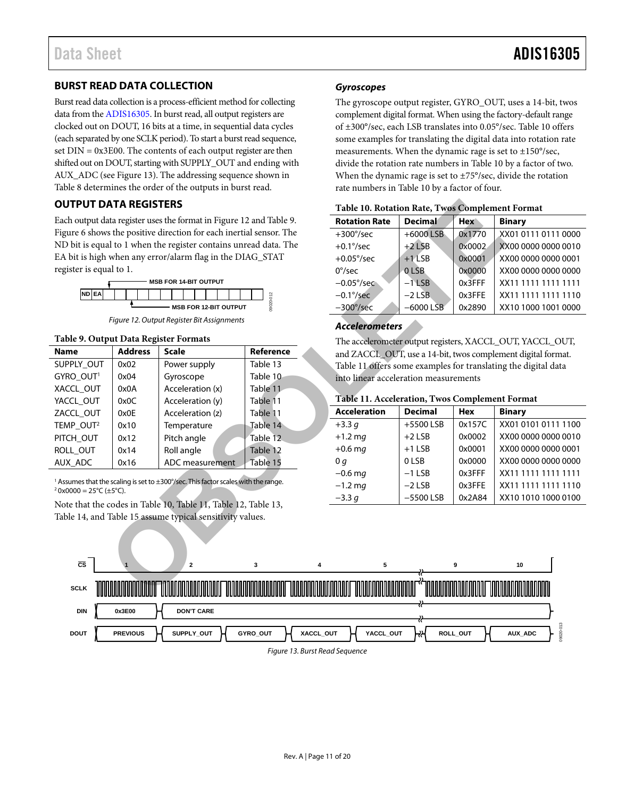#### <span id="page-10-0"></span>**BURST READ DATA COLLECTION**

Burst read data collection is a process-efficient method for collecting data from th[e ADIS16305.](http://www.analog.com/ADIS16305?doc=ADIS16305.pdf) In burst read, all output registers are clocked out on DOUT, 16 bits at a time, in sequential data cycles (each separated by one SCLK period). To start a burst read sequence, set  $DIN = 0x3E00$ . The contents of each output register are then shifted out on DOUT, starting with SUPPLY\_OUT and ending with AUX\_ADC (se[e Figure 13\)](#page-10-3). The addressing sequence shown in [Table 8](#page-9-1) determines the order of the outputs in burst read.

#### <span id="page-10-1"></span>**OUTPUT DATA REGISTERS**



*Figure 12. Output Register Bit Assignments*

#### <span id="page-10-4"></span><span id="page-10-2"></span>**Table 9. Output Data Register Formats**

| <b>OUTPUT DATA REGISTERS</b>                                        |                |                                                                                               |                      | Table 10. Rotation Rate, Twos Complemen       |                |        |        |
|---------------------------------------------------------------------|----------------|-----------------------------------------------------------------------------------------------|----------------------|-----------------------------------------------|----------------|--------|--------|
| Each output data register uses the format in Figure 12 and Table 9. |                |                                                                                               | <b>Rotation Rate</b> | <b>Decimal</b>                                | <b>Hex</b>     | Bi     |        |
|                                                                     |                | Figure 6 shows the positive direction for each inertial sensor. The                           |                      | $+300^{\circ}/sec$                            | $+6000$ LSB    | 0x1770 | X)     |
|                                                                     |                | ND bit is equal to 1 when the register contains unread data. The                              |                      | $+0.1\degree$ /sec                            | $+2$ LSB       | 0x0002 | $\chi$ |
|                                                                     |                | EA bit is high when any error/alarm flag in the DIAG_STAT                                     |                      | $+0.05^{\circ}/sec$                           | $+1$ LSB       | 0x0001 | X)     |
| register is equal to 1.                                             |                |                                                                                               |                      | $0^{\circ}/sec$                               | 0LSB           | 0x0000 | X)     |
|                                                                     |                | <b>MSB FOR 14-BIT OUTPUT</b>                                                                  |                      | $-0.05^{\circ}/sec$                           | $-1$ LSB       | 0x3FFF | X)     |
| ND EA                                                               |                |                                                                                               | 0020-012             | $-0.1\degree$ /sec                            | $-2$ LSB       | 0x3FFE | X)     |
|                                                                     |                | <b>MSB FOR 12-BIT OUTPUT</b>                                                                  |                      | $-300^{\circ}/sec$                            | $-6000$ LSB    | 0x2890 | X)     |
|                                                                     |                | Figure 12. Output Register Bit Assignments                                                    |                      | <b>Accelerometers</b>                         |                |        |        |
| Table 9. Output Data Register Formats                               |                |                                                                                               |                      | The accelerometer output registers, XACCL_O   |                |        |        |
| <b>Name</b>                                                         | <b>Address</b> | <b>Scale</b>                                                                                  | Reference            | and ZACCL_OUT, use a 14-bit, twos complem     |                |        |        |
| SUPPLY_OUT                                                          | 0x02           | Power supply                                                                                  | Table 13             | Table 11 offers some examples for translating |                |        |        |
| GYRO OUT <sup>1</sup>                                               | 0x04           | Gyroscope                                                                                     | Table 10             | into linear acceleration measurements         |                |        |        |
| XACCL_OUT                                                           | 0x0A           | Acceleration (x)                                                                              | Table 11             | Table 11. Acceleration, Twos Complement       |                |        |        |
| YACCL_OUT                                                           | 0x0C           | Acceleration (y)                                                                              | Table 11             | <b>Acceleration</b>                           | <b>Decimal</b> | Hex    | Bi     |
| ZACCL OUT                                                           | 0x0E           | Acceleration (z)                                                                              | Table 11             |                                               |                |        |        |
| TEMP OUT <sup>2</sup>                                               | 0x10           | Temperature                                                                                   | Table 14             | $+3.3q$                                       | +5500 LSB      | 0x157C | X)     |
| PITCH_OUT                                                           | 0x12           | Pitch angle                                                                                   | Table 12             | $+1.2$ mg                                     | $+2$ LSB       | 0x0002 | X)     |
| ROLL_OUT                                                            | 0x14           | Roll angle                                                                                    | Table 12             | $+0.6$ mg                                     | $+1$ LSB       | 0x0001 | X)     |
| AUX_ADC                                                             | 0x16           | ADC measurement                                                                               | Table 15             | 0 <sub>g</sub>                                | 0LSB           | 0x0000 | X)     |
|                                                                     |                | <sup>1</sup> Assumes that the scaling is set to ±300°/sec. This factor scales with the range. |                      | $-0.6$ ma                                     | $-1$ LSB       | 0x3FFF | X)     |
| $20x0000 = 25^{\circ}C (\pm 5^{\circ}C).$                           |                |                                                                                               |                      | $-1.2$ mg                                     | $-2$ LSB       | 0x3FFE | X)     |
|                                                                     |                | Note that the codes in Table 10, Table 11, Table 12, Table 13,                                |                      | $-3.3 g$                                      | $-5500$ LSB    | 0x2A84 | X)     |
|                                                                     |                | Table 14, and Table 15 assume typical sensitivity values.                                     |                      |                                               |                |        |        |
|                                                                     |                |                                                                                               |                      |                                               |                |        |        |
| $\overline{\text{cs}}$                                              |                | $\overline{\mathbf{2}}$                                                                       | 3<br>4               | 5                                             |                | 9      |        |
| <b>SCLK</b>                                                         |                |                                                                                               |                      |                                               |                |        |        |

#### *Gyroscopes*

The gyroscope output register, GYRO\_OUT, uses a 14-bit, twos complement digital format. When using the factory-default range of ±300°/sec, each LSB translates into 0.05°/sec[. Table 10](#page-10-5) offers some examples for translating the digital data into rotation rate measurements. When the dynamic rage is set to  $\pm 150^{\circ}/\text{sec}$ , divide the rotation rate numbers i[n Table 10](#page-10-5) by a factor of two. When the dynamic rage is set to ±75°/sec, divide the rotation rate numbers i[n Table 10](#page-10-5) by a factor of four.

| <b>Rotation Rate</b> | <b>Decimal</b> | <b>Hex</b> | <b>Binary</b>       |
|----------------------|----------------|------------|---------------------|
| $+300^{\circ}/sec$   | $+6000$ LSB    | 0x1770     | XX01 0111 0111 0000 |
| $+0.1\degree$ /sec   | $+2$ LSB       | 0x0002     | XX00 0000 0000 0010 |
| $+0.05^{\circ}/sec$  | $+1$ LSB       | 0x0001     | XX00 0000 0000 0001 |
| $0^{\circ}/sec$      | 0LSB           | 0x0000     | XX00 0000 0000 0000 |
| $-0.05^{\circ}/sec$  | $-1$ LSB       | $0x3$ FFF  | XX11 1111 1111 1111 |
| $-0.1\degree$ /sec   | $-2$ LSB       | 0x3FFE     | XX11 1111 1111 1110 |
| $-300^{\circ}/sec$   | $-6000$ LSB    | 0x2890     | XX10 1000 1001 0000 |

#### <span id="page-10-5"></span>**Table 10. Rotation Rate, Twos Complement Format**

#### *Accelerometers*

The accelerometer output registers, XACCL\_OUT, YACCL\_OUT, and ZACCL\_OUT, use a 14-bit, twos complement digital format. Table 11 offers some examples for translating the digital data into linear acceleration measurements

#### <span id="page-10-6"></span>**Table 11. Acceleration, Twos Complement Format**

| <b>Acceleration</b> | <b>Decimal</b> | <b>Hex</b> | <b>Binary</b>       |
|---------------------|----------------|------------|---------------------|
| $+3.3q$             | +5500 LSB      | 0x157C     | XX01 0101 0111 1100 |
| $+1.2$ mg           | $+2$ LSB       | 0x0002     | XX00 0000 0000 0010 |
| $+0.6$ mg           | $+1$ LSB       | 0x0001     | XX00 0000 0000 0001 |
| 0 <sub>q</sub>      | 0LSB           | 0x0000     | XX00 0000 0000 0000 |
| $-0.6$ mg           | $-1$ LSB       | 0x3FFF     | XX11 1111 1111 1111 |
| $-1.2$ mg           | $-2$ LSB       | 0x3FFE     | XX11 1111 1111 1110 |
| $-3.3q$             | $-5500$ LSB    | 0x2A84     | XX10 1010 1000 0100 |
|                     |                |            |                     |

<span id="page-10-3"></span>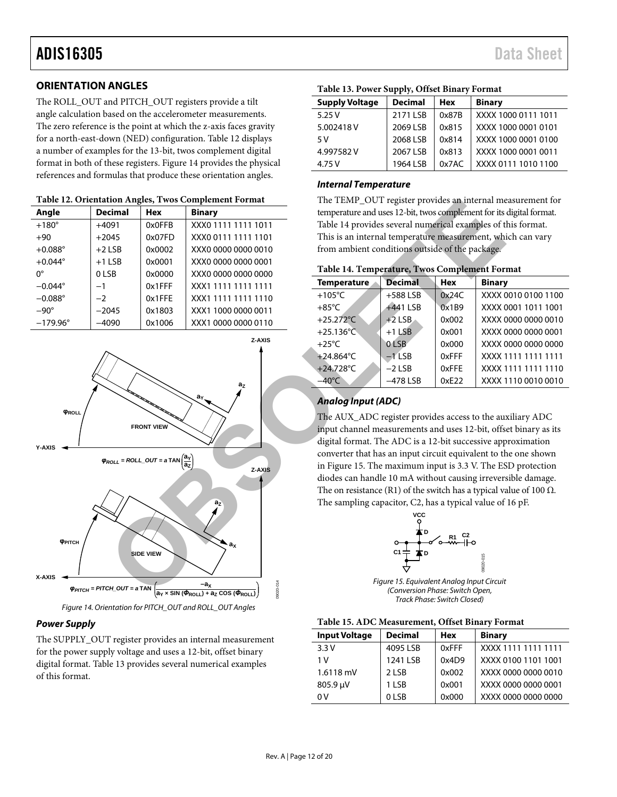#### <span id="page-11-0"></span>**ORIENTATION ANGLES**

The ROLL\_OUT and PITCH\_OUT registers provide a tilt angle calculation based on the accelerometer measurements. The zero reference is the point at which the z-axis faces gravity for a north-east-down (NED) configuration. [Table 12 d](#page-11-3)isplays a number of examples for the 13-bit, twos complement digital format in both of these registers. [Figure 14](#page-11-5) provides the physical references and formulas that produce these orientation angles.

<span id="page-11-3"></span>

| Angle             | <b>Decimal</b> | <b>Hex</b> | <b>Binary</b>       |
|-------------------|----------------|------------|---------------------|
| $+180^\circ$      | $+4091$        | 0x0FFB     | XXX0 1111 1111 1011 |
| $+90$             | $+2045$        | 0x07FD     | XXX0 0111 1111 1101 |
| $+0.088^{\circ}$  | $+2$ LSB       | 0x0002     | XXX0 0000 0000 0010 |
| $+0.044^{\circ}$  | $+1$ LSB       | 0x0001     | XXX0 0000 0000 0001 |
| $0^{\circ}$       | 0LSB           | 0x0000     | XXX0 0000 0000 0000 |
| $-0.044^{\circ}$  | $-1$           | $0x1$ FFF  | XXX1 1111 1111 1111 |
| $-0.088^\circ$    | $-2$           | 0x1FFE     | XXX1 1111 1111 1110 |
| $-90^\circ$       | $-2045$        | 0x1803     | XXX1 1000 0000 0011 |
| $-179.96^{\circ}$ | $-4090$        | 0x1006     | XXX1 0000 0000 0110 |



*Figure 14. Orientation for PITCH\_OUT and ROLL\_OUT Angles*

#### <span id="page-11-5"></span>*Power Supply*

The SUPPLY\_OUT register provides an internal measurement for the power supply voltage and uses a 12-bit, offset binary digital format[. Table 13](#page-11-1) provides several numerical examples of this format.

| <b>Supply Voltage</b> | <b>Decimal</b> | <b>Hex</b> | <b>Binary</b>       |
|-----------------------|----------------|------------|---------------------|
| 5.25V                 | 2171 LSB       | 0x87B      | XXXX 1000 0111 1011 |
| 5.002418V             | 2069 LSB       | 0x815      | XXXX 1000 0001 0101 |
| 5 V                   | 2068 LSB       | 0x814      | XXXX 1000 0001 0100 |
| 4.997582V             | 2067 LSB       | 0x813      | XXXX 1000 0001 0011 |
| 4.75 V                | 1964 LSB       | 0x7AC      | XXXX 0111 1010 1100 |

<span id="page-11-1"></span>**Table 13. Power Supply, Offset Binary Format**

#### *Internal Temperature*

The TEMP\_OUT register provides an internal measurement for temperature and uses 12-bit, twos complement for its digital format. Table 14 provides several numerical examples of this format. This is an internal temperature measurement, which can vary from ambient conditions outside of the package.

<span id="page-11-2"></span>

| Table 14. Temperature, Twos Complement Format |  |  |
|-----------------------------------------------|--|--|
|-----------------------------------------------|--|--|

| <b>Temperature</b>  | <b>Decimal</b> | <b>Hex</b> | <b>Binary</b>       |
|---------------------|----------------|------------|---------------------|
| $+105^{\circ}$ C    | $+588$ LSB     | 0x24C      | XXXX 0010 0100 1100 |
| $+85^{\circ}$ C     | +441 LSB       | 0x1B9      | XXXX 0001 1011 1001 |
| +25.272°C           | $+2$ LSB       | 0x002      | XXXX 0000 0000 0010 |
| $+25.136^{\circ}$ C | $+1$ LSB       | 0x001      | XXXX 0000 0000 0001 |
| $+25^{\circ}$ C     | 0 LSB          | 0x000      | XXXX 0000 0000 0000 |
| $+24.864^{\circ}$ C | $-1$ LSB       | 0xFFF      | XXXX 1111 1111 1111 |
| +24.728°C           | $-2$ LSB       | 0xFFE      | XXXX 1111 1111 1110 |
| $-40^{\circ}$ C     | $-478$ LSB     | 0xE22      | XXXX 1110 0010 0010 |

#### *Analog Input (ADC)*

The AUX\_ADC register provides access to the auxiliary ADC input channel measurements and uses 12-bit, offset binary as its digital format. The ADC is a 12-bit successive approximation converter that has an input circuit equivalent to the one shown in Figure 15. The maximum input is 3.3 V. The ESD protection diodes can handle 10 mA without causing irreversible damage. The on resistance (R1) of the switch has a typical value of 100  $\Omega$ . The sampling capacitor, C2, has a typical value of 16 pF.



*Figure 15. Equivalent Analog Input Circuit (Conversion Phase: Switch Open, Track Phase: Switch Closed)*

#### <span id="page-11-6"></span><span id="page-11-4"></span>**Table 15. ADC Measurement, Offset Binary Format**

| <b>Input Voltage</b> | <b>Decimal</b> | <b>Hex</b> | <b>Binary</b>       |
|----------------------|----------------|------------|---------------------|
| 3.3V                 | 4095 LSB       | 0xFFF      | XXXX 1111 1111 1111 |
| 1 V                  | 1241 LSB       | 0x4D9      | XXXX 0100 1101 1001 |
| $1.6118$ mV          | 2 LSB          | 0x002      | XXXX 0000 0000 0010 |
| 805.9 µV             | 1 LSB          | 0x001      | XXXX 0000 0000 0001 |
| 0 V                  | 0LSB           | 0x000      | XXXX 0000 0000 0000 |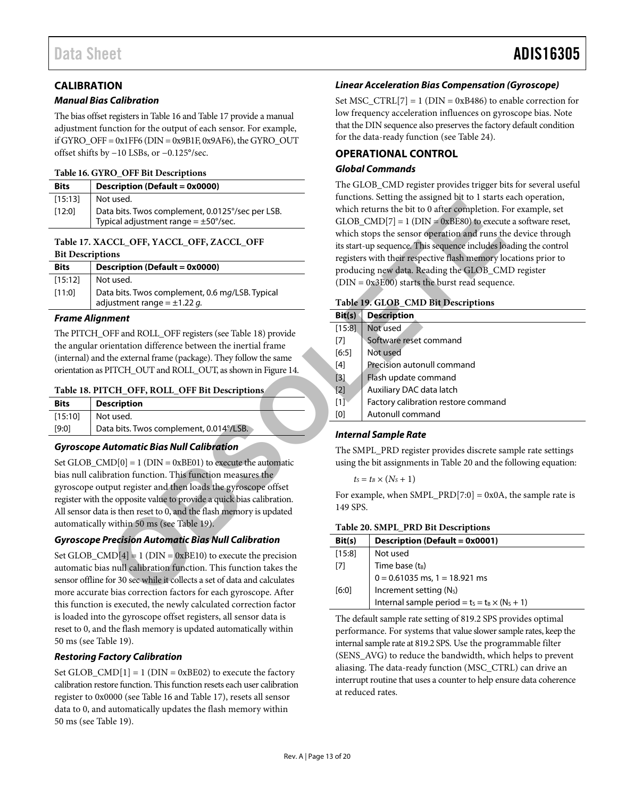#### <span id="page-12-0"></span>**CALIBRATION**

#### *Manual Bias Calibration*

The bias offset registers i[n Table 16](#page-12-2) an[d Table 17](#page-12-4) provide a manual adjustment function for the output of each sensor. For example, if GYRO\_OFF =  $0x1FF6$  (DIN =  $0x9B1F$ ,  $0x9AF6$ ), the GYRO\_OUT offset shifts by −10 LSBs, or −0.125°/sec.

#### <span id="page-12-2"></span>**Table 16. GYRO\_OFF Bit Descriptions**

| <b>Bits</b> | Description (Default = 0x0000)                                                                |
|-------------|-----------------------------------------------------------------------------------------------|
| [15:13]     | Not used.                                                                                     |
| [12:0]      | Data bits. Twos complement, 0.0125°/sec per LSB.<br>Typical adjustment range = $\pm$ 50°/sec. |

#### <span id="page-12-4"></span>**Table 17. XACCL\_OFF, YACCL\_OFF, ZACCL\_OFF Bit Descriptions**

| <b>Bits</b> | Description (Default = 0x0000)                                                      |
|-------------|-------------------------------------------------------------------------------------|
| [15:12]     | Not used.                                                                           |
| [11:0]      | Data bits. Twos complement, 0.6 mg/LSB. Typical<br>adjustment range = $\pm$ 1.22 g. |

#### *Frame Alignment*

The PITCH\_OFF and ROLL\_OFF registers (see Table 18) provide the angular orientation difference between the inertial frame (internal) and the external frame (package). They follow the same orientation as PITCH\_OUT and ROLL\_OUT, as shown in Figure 14.

#### <span id="page-12-3"></span>**Table 18. PITCH\_OFF, ROLL\_OFF Bit Descriptions**

| <b>Bits</b> | <b>Description</b>                      |  |
|-------------|-----------------------------------------|--|
| [15:10]     | Not used.                               |  |
| [9:0]       | Data bits. Twos complement, 0.014°/LSB. |  |

#### *Gyroscope Automatic Bias Null Calibration*

Set GLOB  $\text{CMD}[0] = 1$  (DIN = 0xBE01) to execute the automatic bias null calibration function. This function measures the gyroscope output register and then loads the gyroscope offset register with the opposite value to provide a quick bias calibration. All sensor data is then reset to 0, and the flash memory is updated automatically within 50 ms (see Table 19).

#### *Gyroscope Precision Automatic Bias Null Calibration*

Set GLOB  $\text{CMD}[4] = 1 \text{ (DIN} = 0 \text{xBE10})$  to execute the precision automatic bias null calibration function. This function takes the sensor offline for 30 sec while it collects a set of data and calculates more accurate bias correction factors for each gyroscope. After this function is executed, the newly calculated correction factor is loaded into the gyroscope offset registers, all sensor data is reset to 0, and the flash memory is updated automatically within 50 ms (see [Table 19\)](#page-12-6).

#### *Restoring Factory Calibration*

Set GLOB  $\text{CMD}[1] = 1$  (DIN = 0xBE02) to execute the factory calibration restore function. This function resets each user calibration register to 0x0000 (see [Table 16](#page-12-2) an[d Table 17\)](#page-12-4), resets all sensor data to 0, and automatically updates the flash memory within 50 ms (see [Table 19\)](#page-12-6).

#### *Linear Acceleration Bias Compensation (Gyroscope)*

Set MSC\_CTRL $[7] = 1$  (DIN = 0xB486) to enable correction for low frequency acceleration influences on gyroscope bias. Note that the DIN sequence also preserves the factory default condition for the data-ready function (see [Table 24\)](#page-14-3).

#### <span id="page-12-1"></span>**OPERATIONAL CONTROL** *Global Commands*

The GLOB\_CMD register provides trigger bits for several useful functions. Setting the assigned bit to 1 starts each operation, which returns the bit to 0 after completion. For example, set  $GLOB\_CMD[7] = 1 (DIN = 0xBE80)$  to execute a software reset, which stops the sensor operation and runs the device through its start-up sequence. This sequence includes loading the control registers with their respective flash memory locations prior to producing new data. Reading the GLOB\_CMD register (DIN = 0x3E00) starts the burst read sequence.

#### <span id="page-12-6"></span>**Table 19. GLOB\_CMD Bit Descriptions**

| ιτ usea.                                                  | Tunctions. Scitting the assigned bit to I starts each operation,                                                                  |                                                                   |  |  |
|-----------------------------------------------------------|-----------------------------------------------------------------------------------------------------------------------------------|-------------------------------------------------------------------|--|--|
| ta bits. Twos complement, 0.0125°/sec per LSB.            | which returns the bit to 0 after completion. For example, set<br>$GLOB\_CMD[7] = 1 (DIN = 0xBE80)$ to execute a software reset,   |                                                                   |  |  |
| pical adjustment range = $\pm$ 50°/sec.                   |                                                                                                                                   |                                                                   |  |  |
| CCL_OFF, YACCL_OFF, ZACCL_OFF                             | which stops the sensor operation and runs the device through<br>its start-up sequence. This sequence includes loading the control |                                                                   |  |  |
| ons                                                       | registers with their respective flash memory locations prior to                                                                   |                                                                   |  |  |
| scription (Default = 0x0000)                              |                                                                                                                                   | producing new data. Reading the GLOB_CMD register                 |  |  |
| t used.                                                   |                                                                                                                                   | $(DIN = 0x3E00)$ starts the burst read sequence.                  |  |  |
| ta bits. Twos complement, 0.6 mg/LSB. Typical             |                                                                                                                                   |                                                                   |  |  |
| justment range = $\pm$ 1.22 g.                            |                                                                                                                                   | Table 19. GLOB_CMD Bit Descriptions                               |  |  |
| ment                                                      | Bit(s)                                                                                                                            | <b>Description</b>                                                |  |  |
| OFF and ROLL_OFF registers (see Table 18) provide         | [15:8]                                                                                                                            | Not used                                                          |  |  |
| rientation difference between the inertial frame          | $[7]$                                                                                                                             | Software reset command                                            |  |  |
| the external frame (package). They follow the same        | [6:5]                                                                                                                             | Not used                                                          |  |  |
| PITCH_OUT and ROLL_OUT, as shown in Figure 14.            | $[4]$                                                                                                                             | Precision autonull command                                        |  |  |
|                                                           | $[3]$                                                                                                                             | Flash update command                                              |  |  |
| <b>TCH_OFF, ROLL_OFF Bit Descriptions</b>                 | $[2]$                                                                                                                             | Auxiliary DAC data latch                                          |  |  |
| scription                                                 | [1]                                                                                                                               | Factory calibration restore command                               |  |  |
| t used.                                                   | [0]                                                                                                                               | Autonull command                                                  |  |  |
| ta bits. Twos complement, 0.014°/LSB.                     | <b>Internal Sample Rate</b>                                                                                                       |                                                                   |  |  |
| <b>Nutomatic Bias Null Calibration</b>                    |                                                                                                                                   | The SMPL_PRD register provides discrete sample rate settings      |  |  |
| $MD[0] = 1$ ( $DIN = 0xBE01$ ) to execute the automatic   |                                                                                                                                   | using the bit assignments in Table 20 and the following equation: |  |  |
| ration function. This function measures the               |                                                                                                                                   | $t_s = t_B \times (N_s + 1)$                                      |  |  |
| tput register and then loads the gyroscope offset         | For example, when SMPL_PRD[7:0] = 0x0A, the sample rate is                                                                        |                                                                   |  |  |
| he opposite value to provide a quick bias calibration.    | 149 SPS.                                                                                                                          |                                                                   |  |  |
| a is then reset to 0, and the flash memory is updated     |                                                                                                                                   |                                                                   |  |  |
| within 50 ms (see Table 19).                              | Table 20. SMPL_PRD Bit Descriptions                                                                                               |                                                                   |  |  |
| Precision Automatic Bias Null Calibration                 | Bit(s)                                                                                                                            | <b>Description (Default = 0x0001)</b>                             |  |  |
| $MD[4] = 1 (DIN = 0xBE10)$ to execute the precision       | [15:8]                                                                                                                            | Not used                                                          |  |  |
| s null calibration function. This function takes the      | $[7]$                                                                                                                             | Time base $(t_B)$                                                 |  |  |
| for 30 sec while it collects a set of data and calculates |                                                                                                                                   | $0 = 0.61035$ ms, 1 = 18.921 ms                                   |  |  |
| e bias correction factors for each gyroscope. After       | $[6:0]$                                                                                                                           | Increment setting (N <sub>s</sub> )                               |  |  |
|                                                           |                                                                                                                                   |                                                                   |  |  |

#### *Internal Sample Rate*

$$
t_S = t_B \times (N_S + 1)
$$

<span id="page-12-5"></span>**Table 20. SMPL\_PRD Bit Descriptions**

| Bit(s) | <b>Description (Default = 0x0001)</b>                 |
|--------|-------------------------------------------------------|
| [15:8] | Not used                                              |
| [7]    | Time base (t <sub>B</sub> )                           |
|        | $0 = 0.61035$ ms, 1 = 18.921 ms                       |
| [6:0]  | Increment setting (N <sub>S</sub> )                   |
|        | Internal sample period = $t_s = t_B \times (N_s + 1)$ |

The default sample rate setting of 819.2 SPS provides optimal performance. For systems that value slower sample rates, keep the internal sample rate at 819.2 SPS. Use the programmable filter (SENS\_AVG) to reduce the bandwidth, which helps to prevent aliasing. The data-ready function (MSC\_CTRL) can drive an interrupt routine that uses a counter to help ensure data coherence at reduced rates.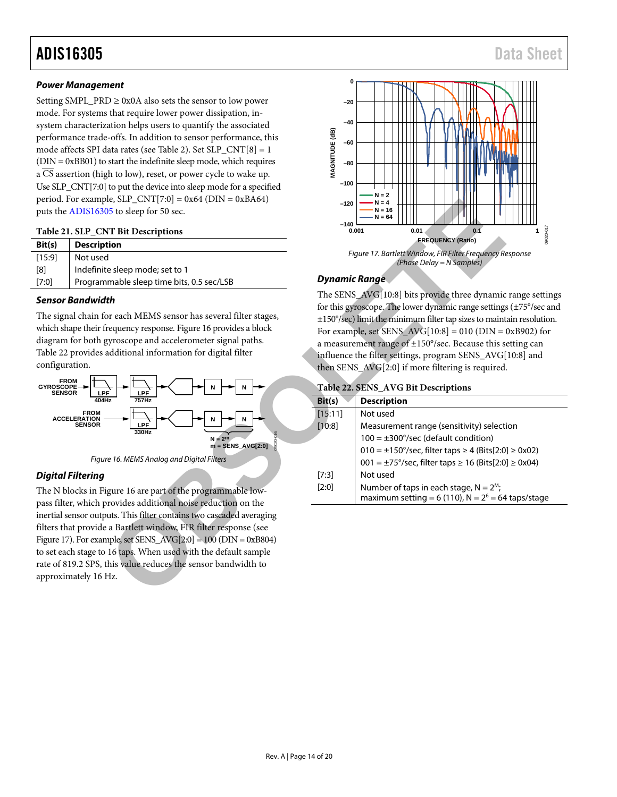#### *Power Management*

Setting SMPL\_PRD  $\geq$  0x0A also sets the sensor to low power mode. For systems that require lower power dissipation, insystem characterization helps users to quantify the associated performance trade-offs. In addition to sensor performance, this mode affects SPI data rates (see [Table 2\)](#page-4-1). Set SLP\_CNT[8] = 1 (DIN = 0xBB01) to start the indefinite sleep mode, which requires a CS assertion (high to low), reset, or power cycle to wake up. Use SLP\_CNT[7:0] to put the device into sleep mode for a specified period. For example, SLP\_CNT[7:0] =  $0x64$  (DIN =  $0xBA64$ ) puts th[e ADIS16305](http://www.analog.com/ADIS16305?doc=ADIS16305.pdf) to sleep for 50 sec.

#### <span id="page-13-1"></span>**Table 21. SLP\_CNT Bit Descriptions**

| Bit(s) | <b>Description</b>                        |
|--------|-------------------------------------------|
| [15:9] | Not used                                  |
| [8]    | Indefinite sleep mode; set to 1           |
| [7:0]  | Programmable sleep time bits, 0.5 sec/LSB |

#### *Sensor Bandwidth*

The signal chain for each MEMS sensor has several filter stages, which shape their frequency response. Figure 16 provides a block diagram for both gyroscope and accelerometer signal paths. [Table 22](#page-13-0) provides additional information for digital filter configuration.



#### <span id="page-13-2"></span>*Digital Filtering*

The N blocks in Figure 16 are part of the programmable lowpass filter, which provides additional noise reduction on the inertial sensor outputs. This filter contains two cascaded averaging filters that provide a Bartlett window, FIR filter response (see [Figure 17\)](#page-13-3). For example, set SENS  $AVG[2:0] = 100$  (DIN = 0xB804) to set each stage to 16 taps. When used with the default sample rate of 819.2 SPS, this value reduces the sensor bandwidth to approximately 16 Hz.



#### <span id="page-13-3"></span>*Dynamic Range*

#### <span id="page-13-0"></span>**Table 22. SENS\_AVG Bit Descriptions**

| $ e, SLP_C[N1]/:0  = 0x64$ (DIN = 0xBA64)<br>15 to sleep for 50 sec.<br><b>T Bit Descriptions</b>                                                                                                                                                                                                  | $-120$<br>$-140$     | $N = 4$<br>$N = 16$<br>N = 64<br>10-020060<br>0.001<br>0.01<br>0.1                                                                                                                                                                                                                                                                                                                                                                                                   |
|----------------------------------------------------------------------------------------------------------------------------------------------------------------------------------------------------------------------------------------------------------------------------------------------------|----------------------|----------------------------------------------------------------------------------------------------------------------------------------------------------------------------------------------------------------------------------------------------------------------------------------------------------------------------------------------------------------------------------------------------------------------------------------------------------------------|
| tion                                                                                                                                                                                                                                                                                               |                      | <b>FREQUENCY (Ratio)</b>                                                                                                                                                                                                                                                                                                                                                                                                                                             |
|                                                                                                                                                                                                                                                                                                    |                      | Figure 17. Bartlett Window, FIR Filter Frequency Response<br>(Phase Delay = N Samples)                                                                                                                                                                                                                                                                                                                                                                               |
| e sleep mode; set to 1:<br>mable sleep time bits, 0.5 sec/LSB                                                                                                                                                                                                                                      | <b>Dynamic Range</b> |                                                                                                                                                                                                                                                                                                                                                                                                                                                                      |
| th<br>or each MEMS sensor has several filter stages,<br>requency response. Figure 16 provides a block<br>gyroscope and accelerometer signal paths.<br>additional information for digital filter                                                                                                    |                      | The SENS_AVG[10:8] bits provide three dynamic range settings<br>for this gyroscope. The lower dynamic range settings (±75°/sec and<br>±150°/sec) limit the minimum filter tap sizes to maintain resolution.<br>For example, set SENS_AVG[10:8] = 010 (DIN = 0xB902) for<br>a measurement range of $\pm 150^{\circ}/sec$ . Because this setting can<br>influence the filter settings, program SENS_AVG[10:8] and<br>then SENS_AVG[2:0] if more filtering is required. |
| LPF<br>$757$ Hz                                                                                                                                                                                                                                                                                    | Bit(s)               | Table 22. SENS_AVG Bit Descriptions<br><b>Description</b>                                                                                                                                                                                                                                                                                                                                                                                                            |
| LPF<br>330Hz<br>$N = 2m$<br>$m =$ SENS_AVG[2:0]<br>re 16. MEMS Analog and Digital Filters                                                                                                                                                                                                          | [15:11]<br>[10:8]    | Not used<br>Measurement range (sensitivity) selection<br>$100 = \pm 300^{\circ}/sec$ (default condition)<br>$010 = ±150^{\circ}/sec$ , filter taps ≥ 4 (Bits[2:0] ≥ 0x02)<br>001 = ±75°/sec, filter taps ≥ 16 (Bits[2:0] ≥ 0x04)                                                                                                                                                                                                                                     |
| gure 16 are part of the programmable low-                                                                                                                                                                                                                                                          | [7:3]<br>[2:0]       | Not used<br>Number of taps in each stage, $N = 2M$ ;<br>maximum setting = 6 (110), $N = 26 = 64$ taps/stage                                                                                                                                                                                                                                                                                                                                                          |
| provides additional noise reduction on the<br>uts. This filter contains two cascaded averaging<br>a Bartlett window, FIR filter response (see<br>$nple, set SENS_AVG[2:0] = 100 (DIN = 0xB804)$<br>16 taps. When used with the default sample<br>this value reduces the sensor bandwidth to<br>Hz. |                      |                                                                                                                                                                                                                                                                                                                                                                                                                                                                      |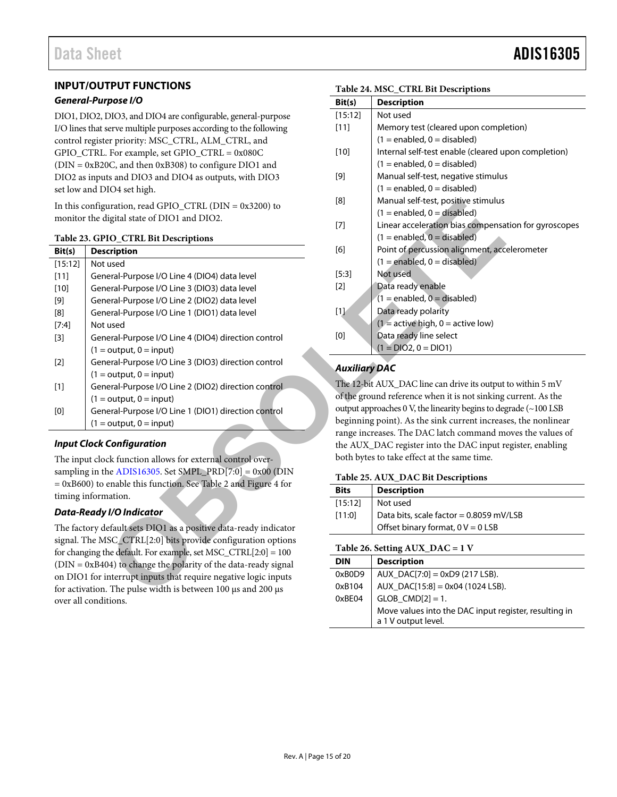#### <span id="page-14-0"></span>**INPUT/OUTPUT FUNCTIONS**

#### *General-Purpose I/O*

DIO1, DIO2, DIO3, and DIO4 are configurable, general-purpose I/O lines that serve multiple purposes according to the following control register priority: MSC\_CTRL, ALM\_CTRL, and GPIO\_CTRL. For example, set GPIO\_CTRL = 0x080C (DIN = 0xB20C, and then 0xB308) to configure DIO1 and DIO2 as inputs and DIO3 and DIO4 as outputs, with DIO3 set low and DIO4 set high.

#### <span id="page-14-2"></span>**Table 23. GPIO\_CTRL Bit Descriptions**

| In this configuration, read GPIO_CTRL ( $DIN = 0x3200$ ) to                                                                    |                                                                    | [8]                                                | Manual self-test, positive stimulus<br>$(1 =$ enabled, $0 =$ disabled) |  |
|--------------------------------------------------------------------------------------------------------------------------------|--------------------------------------------------------------------|----------------------------------------------------|------------------------------------------------------------------------|--|
| monitor the digital state of DIO1 and DIO2.                                                                                    |                                                                    | $[7]$                                              | Linear acceleration bias compensa                                      |  |
|                                                                                                                                | Table 23. GPIO_CTRL Bit Descriptions                               |                                                    | $(1 = enabled, 0 = disabled)$                                          |  |
| Bit(s)                                                                                                                         | <b>Description</b>                                                 | [6]                                                | Point of percussion alignment, acc                                     |  |
| [15:12]                                                                                                                        | Not used                                                           |                                                    | $(1 = enabled, 0 = disabled)$                                          |  |
| $[11]$                                                                                                                         | General-Purpose I/O Line 4 (DIO4) data level                       | [5:3]                                              | Not used                                                               |  |
| $[10]$                                                                                                                         | General-Purpose I/O Line 3 (DIO3) data level                       | $[2]$                                              | Data ready enable                                                      |  |
| $[9]$                                                                                                                          | General-Purpose I/O Line 2 (DIO2) data level                       |                                                    | $(1 =$ enabled, $0 =$ disabled)                                        |  |
| [8]                                                                                                                            | General-Purpose I/O Line 1 (DIO1) data level                       | $[1]$                                              | Data ready polarity                                                    |  |
| $[7:4]$                                                                                                                        | Not used                                                           |                                                    | $(1 =$ active high, $0 =$ active low)                                  |  |
| $[3]$                                                                                                                          | General-Purpose I/O Line 4 (DIO4) direction control                | $\left[0\right]$                                   | Data ready line select                                                 |  |
|                                                                                                                                | $(1 = output, 0 = input)$                                          |                                                    | $(1 = DIO2, 0 = DIO1)$                                                 |  |
| $[2]$                                                                                                                          | General-Purpose I/O Line 3 (DIO3) direction control                |                                                    |                                                                        |  |
|                                                                                                                                | $(1 = output, 0 = input)$                                          | <b>Auxiliary DAC</b>                               |                                                                        |  |
| $[1]$                                                                                                                          | General-Purpose I/O Line 2 (DIO2) direction control                |                                                    | The 12-bit AUX_DAC line can drive its output                           |  |
|                                                                                                                                | $(1 = output, 0 = input)$                                          | of the ground reference when it is not sinking     |                                                                        |  |
| $\left[0\right]$                                                                                                               | General-Purpose I/O Line 1 (DIO1) direction control                | output approaches 0 V, the linearity begins to deg |                                                                        |  |
|                                                                                                                                | $(1 = output, 0 = input)$                                          | beginning point). As the sink current increas      |                                                                        |  |
|                                                                                                                                |                                                                    |                                                    | range increases. The DAC latch command m                               |  |
| <b>Input Clock Configuration</b>                                                                                               |                                                                    | the AUX_DAC register into the DAC input re         |                                                                        |  |
|                                                                                                                                | The input clock function allows for external control over-         | both bytes to take effect at the same time.        |                                                                        |  |
|                                                                                                                                | sampling in the ADIS16305. Set SMPL_PRD[7:0] = $0x00$ (DIN         |                                                    | Table 25. AUX_DAC Bit Descriptions                                     |  |
|                                                                                                                                | $= 0xB600$ ) to enable this function. See Table 2 and Figure 4 for | <b>Bits</b>                                        | <b>Description</b>                                                     |  |
|                                                                                                                                | timing information.                                                |                                                    | Not used                                                               |  |
|                                                                                                                                | <b>Data-Ready I/O Indicator</b>                                    | [15:12]                                            |                                                                        |  |
|                                                                                                                                |                                                                    | [11:0]                                             | Data bits, scale factor = 0.8059 mV                                    |  |
| The factory default sets DIO1 as a positive data-ready indicator                                                               |                                                                    |                                                    | Offset binary format, $0 V = 0$ LSB                                    |  |
| signal. The MSC_CTRL[2:0] bits provide configuration options<br>for changing the default. For example, set MSC_CTRL[2:0] = 100 |                                                                    | Table 26. Setting AUX_DAC = 1 V                    |                                                                        |  |
| $(DIN = 0xB404)$ to change the polarity of the data-ready signal                                                               |                                                                    | <b>DIN</b>                                         | <b>Description</b>                                                     |  |
|                                                                                                                                | on DIO1 for interrupt inputs that require negative logic inputs    | 0xB0D9                                             | $AUX_DAC[7:0] = 0xD9(217LSB).$                                         |  |
| for activation. The pulse width is between 100 µs and 200 µs                                                                   |                                                                    | 0xB104                                             | AUX_DAC[15:8] = 0x04 (1024 LSB).                                       |  |
|                                                                                                                                |                                                                    | 0.0001                                             | $C100$ $C11011$ 1                                                      |  |

#### *Input Clock Configuration*

#### *Data-Ready I/O Indicator*

The factory default sets DIO1 as a positive data-ready indicator signal. The MSC\_CTRL[2:0] bits provide configuration options for changing the default. For example, set MSC\_CTRL[2:0] = 100 (DIN = 0xB404) to change the polarity of the data-ready signal on DIO1 for interrupt inputs that require negative logic inputs for activation. The pulse width is between 100 µs and 200 µs over all conditions.

### <span id="page-14-3"></span>**Table 24. MSC\_CTRL Bit Descriptions**

| Table 24. MSC CTKL DR Descriptions |                                                      |  |  |
|------------------------------------|------------------------------------------------------|--|--|
| Bit(s)                             | <b>Description</b>                                   |  |  |
| [15:12]                            | Not used                                             |  |  |
| $[11]$                             | Memory test (cleared upon completion)                |  |  |
|                                    | $(1 =$ enabled, $0 =$ disabled)                      |  |  |
| $[10]$                             | Internal self-test enable (cleared upon completion)  |  |  |
|                                    | $(1 =$ enabled, $0 =$ disabled)                      |  |  |
| [9]                                | Manual self-test, negative stimulus                  |  |  |
|                                    | $(1 = enabled, 0 = disabled)$                        |  |  |
| [8]                                | Manual self-test, positive stimulus                  |  |  |
|                                    | $(1 =$ enabled, $0 =$ disabled)                      |  |  |
| $[7]$                              | Linear acceleration bias compensation for gyroscopes |  |  |
|                                    | $(1 = enabled, 0 = disabled)$                        |  |  |
| [6]                                | Point of percussion alignment, accelerometer         |  |  |
|                                    | $(1 =$ enabled, $0 =$ disabled)                      |  |  |
| [5:3]                              | Not used                                             |  |  |
| [2]                                | Data ready enable                                    |  |  |
|                                    | $(1 =$ enabled, $\overline{0} =$ disabled)           |  |  |
| $[1]$                              | Data ready polarity                                  |  |  |
|                                    | $(1 =$ active high, $0 =$ active low)                |  |  |
| [0]                                | Data ready line select                               |  |  |
|                                    | $(1 = DIO2, 0 = DIO1)$                               |  |  |

#### *Auxiliary DAC*

The 12-bit AUX\_DAC line can drive its output to within 5 mV of the ground reference when it is not sinking current. As the output approaches 0 V, the linearity begins to degrade (~100 LSB beginning point). As the sink current increases, the nonlinear range increases. The DAC latch command moves the values of the AUX\_DAC register into the DAC input register, enabling both bytes to take effect at the same time.

#### <span id="page-14-1"></span>**Table 25. AUX\_DAC Bit Descriptions**

| <b>Bits</b> | <b>Description</b>                                                           |  |  |
|-------------|------------------------------------------------------------------------------|--|--|
| [15:12]     | Not used                                                                     |  |  |
| [11:0]      | Data bits, scale factor = $0.8059$ mV/LSB                                    |  |  |
|             | Offset binary format, $0 V = 0$ LSB                                          |  |  |
|             | Table 26. Setting AUX $DAC = 1 V$                                            |  |  |
| <b>DIN</b>  | <b>Description</b>                                                           |  |  |
| 0xB0D9      | AUX $DAC[7:0] = 0xD9(217LSB)$ .                                              |  |  |
| 0xB104      | AUX DAC[15:8] = $0x04$ (1024 LSB).                                           |  |  |
| 0xBE04      | $GLOB$ $CMD[2] = 1$ .                                                        |  |  |
|             | Move values into the DAC input register, resulting in<br>a 1 V output level. |  |  |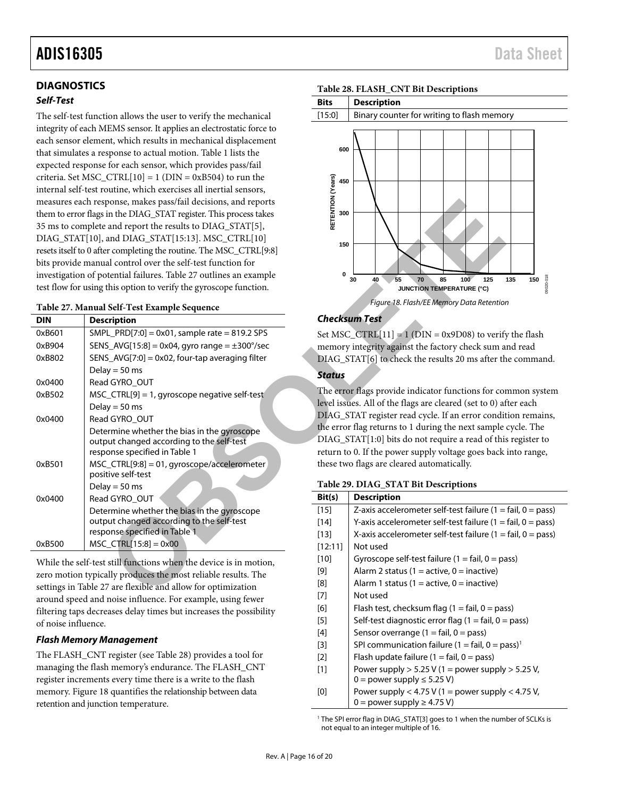#### <span id="page-15-0"></span>**DIAGNOSTICS**

#### *Self-Test*

The self-test function allows the user to verify the mechanical integrity of each MEMS sensor. It applies an electrostatic force to each sensor element, which results in mechanical displacement that simulates a response to actual motion[. Table 1](#page-2-1) lists the expected response for each sensor, which provides pass/fail criteria. Set MSC\_CTRL $[10] = 1$  (DIN = 0xB504) to run the internal self-test routine, which exercises all inertial sensors, measures each response, makes pass/fail decisions, and reports them to error flags in the DIAG\_STAT register. This process takes 35 ms to complete and report the results to DIAG\_STAT[5], DIAG\_STAT[10], and DIAG\_STAT[15:13]. MSC\_CTRL[10] resets itself to 0 after completing the routine. The MSC\_CTRL[9:8] bits provide manual control over the self-test function for investigation of potential failures. Table 27 outlines an example test flow for using this option to verify the gyroscope function.

#### <span id="page-15-3"></span>**Table 27. Manual Self-Test Example Sequence**

|                                                               | measures each response, makes pass/fail decisions, and reports     |                                                     |                                                          |  |
|---------------------------------------------------------------|--------------------------------------------------------------------|-----------------------------------------------------|----------------------------------------------------------|--|
|                                                               | them to error flags in the DIAG_STAT register. This process takes  | RETENTION<br>300                                    |                                                          |  |
| 35 ms to complete and report the results to DIAG_STAT[5],     |                                                                    |                                                     |                                                          |  |
|                                                               | DIAG_STAT[10], and DIAG_STAT[15:13]. MSC_CTRL[10]                  |                                                     |                                                          |  |
|                                                               | resets itself to 0 after completing the routine. The MSC_CTRL[9:8] | 150                                                 |                                                          |  |
|                                                               | bits provide manual control over the self-test function for        |                                                     |                                                          |  |
|                                                               | investigation of potential failures. Table 27 outlines an example  | 0                                                   | 30<br>40<br>55<br>70<br>85<br>100<br>125                 |  |
|                                                               | test flow for using this option to verify the gyroscope function.  |                                                     | <b>JUNCTION TEMPERATURE (°C)</b>                         |  |
|                                                               | Table 27. Manual Self-Test Example Sequence                        |                                                     | Figure 18. Flash/EE Memory Data Retention                |  |
| <b>DIN</b>                                                    | <b>Description</b>                                                 |                                                     | <b>Checksum Test</b>                                     |  |
| 0xB601                                                        | $SMPL_PRD[7:0] = 0x01$ , sample rate = 819.2 SPS                   |                                                     | Set MSC_CTRL $[11] = 1$ (DIN = 0x9D08) to verify         |  |
| 0xB904                                                        | SENS_AVG[15:8] = 0x04, gyro range = $\pm$ 300°/sec                 |                                                     | memory integrity against the factory check sum a         |  |
| 0xB802                                                        | SENS_AVG[7:0] = 0x02, four-tap averaging filter                    |                                                     | DIAG_STAT[6] to check the results 20 ms after th         |  |
|                                                               | Delay = $50$ ms                                                    | <b>Status</b>                                       |                                                          |  |
| 0x0400                                                        | Read GYRO_OUT                                                      |                                                     |                                                          |  |
| 0xB502                                                        | MSC_CTRL[9] = 1, gyroscope negative self-test                      | The error flags provide indicator functions for cor |                                                          |  |
|                                                               | Delay = $50$ ms                                                    |                                                     | level issues. All of the flags are cleared (set to 0) af |  |
| 0x0400                                                        | Read GYRO_OUT                                                      | DIAG_STAT register read cycle. If an error condit   |                                                          |  |
|                                                               | Determine whether the bias in the gyroscope                        | the error flag returns to 1 during the next sample  |                                                          |  |
|                                                               | output changed according to the self-test                          |                                                     | DIAG_STAT[1:0] bits do not require a read of this        |  |
|                                                               | response specified in Table 1                                      | return to 0. If the power supply voltage goes back  |                                                          |  |
| 0xB501                                                        | MSC_CTRL[9:8] = 01, gyroscope/accelerometer<br>positive self-test  | these two flags are cleared automatically.          |                                                          |  |
|                                                               | Delay = $50$ ms                                                    | Table 29. DIAG_STAT Bit Descriptions                |                                                          |  |
| 0x0400                                                        | Read GYRO_OUT                                                      | Bit(s)                                              | <b>Description</b>                                       |  |
|                                                               | Determine whether the bias in the gyroscope                        | $[15]$                                              | Z-axis accelerometer self-test failure (1 =              |  |
|                                                               | output changed according to the self-test                          | $[14]$                                              | Y-axis accelerometer self-test failure (1 =              |  |
|                                                               | response specified in Table 1                                      | $[13]$                                              | X-axis accelerometer self-test failure $(1 =$            |  |
| 0xB500                                                        | $MSC_CTRL[15:8] = 0x00$                                            | [12:11]                                             | Not used                                                 |  |
|                                                               | While the self-test still functions when the device is in motion,  | $[10]$                                              | Gyroscope self-test failure (1 = fail, 0 = pa            |  |
| zero motion typically produces the most reliable results. The |                                                                    | $[9]$                                               | Alarm 2 status (1 = active, 0 = inactive)                |  |
| settings in Table 27 are flexible and allow for optimization  |                                                                    | [8]                                                 | Alarm 1 status (1 = active, 0 = inactive)                |  |
|                                                               |                                                                    | [7]                                                 | Not used                                                 |  |

While the self-test still functions when the device is in motion, zero motion typically produces the most reliable results. The settings in [Table 27](#page-15-3) are flexible and allow for optimization around speed and noise influence. For example, using fewer filtering taps decreases delay times but increases the possibility of noise influence.

#### *Flash Memory Management*

The FLASH\_CNT register (se[e Table 28\)](#page-15-1) provides a tool for managing the flash memory's endurance. The FLASH\_CNT register increments every time there is a write to the flash memory. [Figure 18](#page-15-4) quantifies the relationship between data retention and junction temperature.

#### <span id="page-15-1"></span>**Table 28. FLASH\_CNT Bit Descriptions**



#### <span id="page-15-4"></span>*Checksum Test*

Set MSC\_CTRL[11] = 1 (DIN = 0x9D08) to verify the flash memory integrity against the factory check sum and read DIAG\_STAT[6] to check the results 20 ms after the command.

#### *Status*

The error flags provide indicator functions for common system level issues. All of the flags are cleared (set to 0) after each DIAG\_STAT register read cycle. If an error condition remains, the error flag returns to 1 during the next sample cycle. The DIAG\_STAT[1:0] bits do not require a read of this register to return to 0. If the power supply voltage goes back into range, these two flags are cleared automatically.

#### <span id="page-15-2"></span>**Table 29. DIAG\_STAT Bit Descriptions**

| Bit(s)  | <b>Description</b>                                                          |
|---------|-----------------------------------------------------------------------------|
| $[15]$  | Z-axis accelerometer self-test failure $(1 = \text{fail}, 0 = \text{pass})$ |
| $[14]$  | Y-axis accelerometer self-test failure (1 = fail, 0 = pass)                 |
| $[13]$  | X-axis accelerometer self-test failure $(1 = \text{fail}, 0 = \text{pass})$ |
| [12:11] | Not used                                                                    |
| $[10]$  | Gyroscope self-test failure $(1 = \text{fail}, 0 = \text{pass})$            |
| [9]     | Alarm 2 status (1 = active, 0 = inactive)                                   |
| [8]     | Alarm 1 status (1 = active, 0 = inactive)                                   |
| $[7]$   | Not used                                                                    |
| [6]     | Flash test, checksum flag $(1 = \text{fail}, 0 = \text{pass})$              |
| $[5]$   | Self-test diagnostic error flag $(1 = \text{fail}, 0 = \text{pass})$        |
| $[4]$   | Sensor overrange $(1 = \text{fail}, 0 = \text{pass})$                       |
| $[3]$   | SPI communication failure $(1 = \text{fail}, 0 = \text{pass})^T$            |
| $[2]$   | Flash update failure $(1 = \text{fail}, 0 = \text{pass})$                   |
| $[1]$   | Power supply $> 5.25$ V (1 = power supply $> 5.25$ V,                       |
|         | $0 = power supply \le 5.25 V$                                               |
| [0]     | Power supply $<$ 4.75 V (1 = power supply $<$ 4.75 V,                       |
|         | $0 =$ power supply $\geq 4.75$ V)                                           |

<sup>1</sup> The SPI error flag in DIAG\_STAT[3] goes to 1 when the number of SCLKs is not equal to an integer multiple of 16.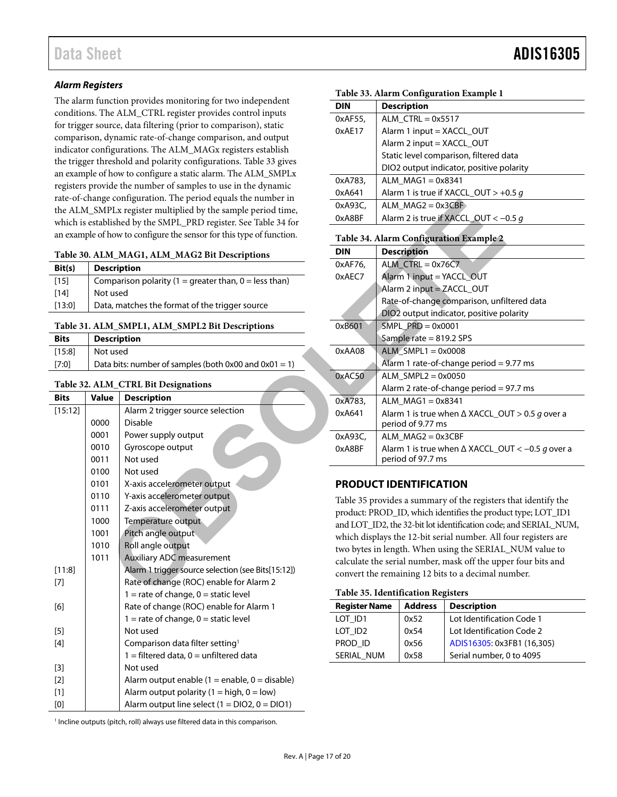#### *Alarm Registers*

The alarm function provides monitoring for two independent conditions. The ALM\_CTRL register provides control inputs for trigger source, data filtering (prior to comparison), static comparison, dynamic rate-of-change comparison, and output indicator configurations. The ALM\_MAGx registers establish the trigger threshold and polarity configurations. [Table 33](#page-16-5) gives an example of how to configure a static alarm. The ALM\_SMPLx registers provide the number of samples to use in the dynamic rate-of-change configuration. The period equals the number in the ALM\_SMPLx register multiplied by the sample period time, which is established by the SMPL\_PRD register. See Table 34 for an example of how to configure the sensor for this type of function.

<span id="page-16-1"></span>

| Table 30. ALM_MAG1, ALM_MAG2 Bit Descriptions |  |  |  |
|-----------------------------------------------|--|--|--|
|-----------------------------------------------|--|--|--|

| Bit(s) | <b>Description</b>                                    |
|--------|-------------------------------------------------------|
| [15]   | Comparison polarity (1 = greater than, 0 = less than) |
| $[14]$ | Not used                                              |
| [13:0] | Data, matches the format of the trigger source        |

#### <span id="page-16-2"></span>**Table 31. ALM\_SMPL1, ALM\_SMPL2 Bit Descriptions**

| <b>Bits</b> | <b>Description</b>                                    |  |  |  |
|-------------|-------------------------------------------------------|--|--|--|
|             | $[15:8]$ Not used                                     |  |  |  |
| [7:0]       | Data bits: number of samples (both 0x00 and 0x01 = 1) |  |  |  |

#### <span id="page-16-3"></span>**Table 32. ALM\_CTRL Bit Designations**

| rale-of-change configuration. The period equals the number in<br>the ALM_SMPLx register multiplied by the sample period time,                                                                                                                                                                                                                                                                                                                                                                                                                                                                                                                                                                                                                                                                      |                                                                      |                                                                        |                                         |                                                                                              | $ALM_MAG2 = 0x3CBF$                |                                               |  |
|----------------------------------------------------------------------------------------------------------------------------------------------------------------------------------------------------------------------------------------------------------------------------------------------------------------------------------------------------------------------------------------------------------------------------------------------------------------------------------------------------------------------------------------------------------------------------------------------------------------------------------------------------------------------------------------------------------------------------------------------------------------------------------------------------|----------------------------------------------------------------------|------------------------------------------------------------------------|-----------------------------------------|----------------------------------------------------------------------------------------------|------------------------------------|-----------------------------------------------|--|
| which is established by the SMPL_PRD register. See Table 34 for                                                                                                                                                                                                                                                                                                                                                                                                                                                                                                                                                                                                                                                                                                                                    |                                                                      |                                                                        |                                         |                                                                                              |                                    | Alarm 2 is true if XACCL_OUT < -              |  |
|                                                                                                                                                                                                                                                                                                                                                                                                                                                                                                                                                                                                                                                                                                                                                                                                    | an example of how to configure the sensor for this type of function. |                                                                        | Table 34. Alarm Configuration Example 2 |                                                                                              |                                    |                                               |  |
|                                                                                                                                                                                                                                                                                                                                                                                                                                                                                                                                                                                                                                                                                                                                                                                                    |                                                                      | Table 30. ALM_MAG1, ALM_MAG2 Bit Descriptions                          | <b>DIN</b>                              |                                                                                              | <b>Description</b>                 |                                               |  |
| Bit(s)                                                                                                                                                                                                                                                                                                                                                                                                                                                                                                                                                                                                                                                                                                                                                                                             | <b>Description</b>                                                   |                                                                        | 0xAF76,                                 |                                                                                              | $ALM_CTRL = 0x76C7$                |                                               |  |
| $[15]$                                                                                                                                                                                                                                                                                                                                                                                                                                                                                                                                                                                                                                                                                                                                                                                             |                                                                      | Comparison polarity (1 = greater than, 0 = less than)                  | 0xAEC7                                  | Alarm 1 input = YACCL_OUT                                                                    |                                    |                                               |  |
| $[14]$                                                                                                                                                                                                                                                                                                                                                                                                                                                                                                                                                                                                                                                                                                                                                                                             | Not used                                                             |                                                                        |                                         |                                                                                              |                                    | Alarm 2 input = ZACCL_OUT                     |  |
| [13:0]                                                                                                                                                                                                                                                                                                                                                                                                                                                                                                                                                                                                                                                                                                                                                                                             |                                                                      | Data, matches the format of the trigger source                         |                                         |                                                                                              |                                    | Rate-of-change comparison, unfi               |  |
|                                                                                                                                                                                                                                                                                                                                                                                                                                                                                                                                                                                                                                                                                                                                                                                                    |                                                                      |                                                                        |                                         |                                                                                              |                                    | DIO2 output indicator, positive po            |  |
|                                                                                                                                                                                                                                                                                                                                                                                                                                                                                                                                                                                                                                                                                                                                                                                                    |                                                                      | Table 31. ALM_SMPL1, ALM_SMPL2 Bit Descriptions                        | 0xB601                                  |                                                                                              | $SMPL\_PRD = 0x0001$               |                                               |  |
| <b>Bits</b>                                                                                                                                                                                                                                                                                                                                                                                                                                                                                                                                                                                                                                                                                                                                                                                        | <b>Description</b>                                                   |                                                                        |                                         |                                                                                              | Sample rate = 819.2 SPS            |                                               |  |
| [15:8]                                                                                                                                                                                                                                                                                                                                                                                                                                                                                                                                                                                                                                                                                                                                                                                             | Not used                                                             |                                                                        | 0xAA08                                  |                                                                                              | $ALM\_SMPL1 = 0x0008$              |                                               |  |
| [7:0]                                                                                                                                                                                                                                                                                                                                                                                                                                                                                                                                                                                                                                                                                                                                                                                              |                                                                      | Data bits: number of samples (both $0x00$ and $0x01 = 1$ )             |                                         |                                                                                              |                                    | Alarm 1 rate-of-change period =               |  |
|                                                                                                                                                                                                                                                                                                                                                                                                                                                                                                                                                                                                                                                                                                                                                                                                    |                                                                      |                                                                        |                                         |                                                                                              | $ALM$ _SMPL2 = 0x0050              |                                               |  |
|                                                                                                                                                                                                                                                                                                                                                                                                                                                                                                                                                                                                                                                                                                                                                                                                    |                                                                      | Table 32. ALM_CTRL Bit Designations                                    |                                         |                                                                                              |                                    | Alarm 2 rate-of-change period =               |  |
| <b>Bits</b>                                                                                                                                                                                                                                                                                                                                                                                                                                                                                                                                                                                                                                                                                                                                                                                        | <b>Value</b>                                                         | <b>Description</b>                                                     | 0xA783,                                 |                                                                                              | $ALM_MAG1 = 0x8341$                |                                               |  |
| [15:12]                                                                                                                                                                                                                                                                                                                                                                                                                                                                                                                                                                                                                                                                                                                                                                                            |                                                                      | Alarm 2 trigger source selection                                       | 0xA641                                  |                                                                                              |                                    | Alarm 1 is true when ∆ XACCL_OI               |  |
|                                                                                                                                                                                                                                                                                                                                                                                                                                                                                                                                                                                                                                                                                                                                                                                                    | 0000                                                                 | <b>Disable</b>                                                         |                                         |                                                                                              | period of 9.77 ms                  |                                               |  |
|                                                                                                                                                                                                                                                                                                                                                                                                                                                                                                                                                                                                                                                                                                                                                                                                    | 0001                                                                 | Power supply output                                                    | 0xA93C,                                 |                                                                                              | $ALM$ MAG2 = 0x3CBF                |                                               |  |
|                                                                                                                                                                                                                                                                                                                                                                                                                                                                                                                                                                                                                                                                                                                                                                                                    | 0010                                                                 | Gyroscope output                                                       | 0xA8BF                                  |                                                                                              |                                    | Alarm 1 is true when ∆ XACCL_OI               |  |
|                                                                                                                                                                                                                                                                                                                                                                                                                                                                                                                                                                                                                                                                                                                                                                                                    | 0011                                                                 | Not used                                                               |                                         |                                                                                              | period of 97.7 ms                  |                                               |  |
|                                                                                                                                                                                                                                                                                                                                                                                                                                                                                                                                                                                                                                                                                                                                                                                                    | 0100                                                                 | Not used                                                               |                                         |                                                                                              |                                    |                                               |  |
|                                                                                                                                                                                                                                                                                                                                                                                                                                                                                                                                                                                                                                                                                                                                                                                                    | 0101                                                                 | X-axis accelerometer output                                            |                                         |                                                                                              | <b>PRODUCT IDENTIFICATION</b>      |                                               |  |
|                                                                                                                                                                                                                                                                                                                                                                                                                                                                                                                                                                                                                                                                                                                                                                                                    | 0110                                                                 | Y-axis accelerometer output                                            |                                         |                                                                                              |                                    | Table 35 provides a summary of the registers  |  |
|                                                                                                                                                                                                                                                                                                                                                                                                                                                                                                                                                                                                                                                                                                                                                                                                    | 0111                                                                 | Z-axis accelerometer output                                            |                                         | product: PROD_ID, which identifies the produ                                                 |                                    |                                               |  |
|                                                                                                                                                                                                                                                                                                                                                                                                                                                                                                                                                                                                                                                                                                                                                                                                    | 1000                                                                 | Temperature output<br>and LOT_ID2, the 32-bit lot identification code; |                                         |                                                                                              |                                    |                                               |  |
|                                                                                                                                                                                                                                                                                                                                                                                                                                                                                                                                                                                                                                                                                                                                                                                                    | 1001                                                                 | Pitch angle output                                                     |                                         | which displays the 12-bit serial number. All f<br>two bytes in length. When using the SERIAL |                                    |                                               |  |
|                                                                                                                                                                                                                                                                                                                                                                                                                                                                                                                                                                                                                                                                                                                                                                                                    | 1010                                                                 | Roll angle output                                                      |                                         |                                                                                              |                                    |                                               |  |
|                                                                                                                                                                                                                                                                                                                                                                                                                                                                                                                                                                                                                                                                                                                                                                                                    | 1011                                                                 | Auxiliary ADC measurement                                              |                                         |                                                                                              |                                    | calculate the serial number, mask off the upp |  |
| [11:8]                                                                                                                                                                                                                                                                                                                                                                                                                                                                                                                                                                                                                                                                                                                                                                                             |                                                                      | Alarm 1 trigger source selection (see Bits[15:12])                     |                                         |                                                                                              |                                    | convert the remaining 12 bits to a decimal nu |  |
| $[7]$                                                                                                                                                                                                                                                                                                                                                                                                                                                                                                                                                                                                                                                                                                                                                                                              |                                                                      | Rate of change (ROC) enable for Alarm 2                                |                                         |                                                                                              | Table 35. Identification Registers |                                               |  |
|                                                                                                                                                                                                                                                                                                                                                                                                                                                                                                                                                                                                                                                                                                                                                                                                    |                                                                      | $1 =$ rate of change, $0 =$ static level                               |                                         |                                                                                              |                                    |                                               |  |
| [6]                                                                                                                                                                                                                                                                                                                                                                                                                                                                                                                                                                                                                                                                                                                                                                                                |                                                                      | Rate of change (ROC) enable for Alarm 1                                | <b>Register Name</b>                    |                                                                                              | <b>Address</b>                     | <b>Description</b>                            |  |
|                                                                                                                                                                                                                                                                                                                                                                                                                                                                                                                                                                                                                                                                                                                                                                                                    |                                                                      | $1 =$ rate of change, $0 =$ static level                               | LOT_ID1                                 |                                                                                              | 0x52                               | Lot Identificatio                             |  |
| $[5]$                                                                                                                                                                                                                                                                                                                                                                                                                                                                                                                                                                                                                                                                                                                                                                                              |                                                                      | Not used                                                               | LOT_ID2                                 |                                                                                              | 0x54<br>0x56                       | Lot Identificatio                             |  |
| $[4] % \begin{center} \includegraphics[width=\linewidth]{imagesSupplemental/Imh} \end{center} % \vspace*{-1em} \caption{The image shows the number of parameters of the parameter $\mathcal{M}_1$ and the number of parameters of the parameter $\mathcal{M}_1$ and the number of parameters of the parameter $\mathcal{M}_2$ and the number of parameters of the parameter $\mathcal{M}_1$ and the number of parameters of the parameter $\mathcal{M}_2$ and the number of parameters of the parameter $\mathcal{M}_1$ and the number of parameters of the parameter $\mathcal{M}_1$ and the number of parameters of the parameter $\mathcal{M}_2$ and the number of parameters of the parameter $\mathcal{M}_1$. } \vspace{-1em} % \begin{minipage}[h]{0.45\textwidth} \includegraphics[width=\$ |                                                                      | Comparison data filter setting <sup>1</sup>                            | PROD_ID                                 |                                                                                              |                                    | ADIS16305: 0x3                                |  |
|                                                                                                                                                                                                                                                                                                                                                                                                                                                                                                                                                                                                                                                                                                                                                                                                    |                                                                      | $1 =$ filtered data, $0 =$ unfiltered data<br>Not used                 | SERIAL_NUM                              |                                                                                              | 0x58                               | Serial number,                                |  |
| $[3]$                                                                                                                                                                                                                                                                                                                                                                                                                                                                                                                                                                                                                                                                                                                                                                                              |                                                                      |                                                                        |                                         |                                                                                              |                                    |                                               |  |
| $[2]$                                                                                                                                                                                                                                                                                                                                                                                                                                                                                                                                                                                                                                                                                                                                                                                              |                                                                      | Alarm output enable $(1 =$ enable, $0 =$ disable)                      |                                         |                                                                                              |                                    |                                               |  |
| $[1]$                                                                                                                                                                                                                                                                                                                                                                                                                                                                                                                                                                                                                                                                                                                                                                                              |                                                                      | Alarm output polarity (1 = high, $0 = low$ )                           |                                         |                                                                                              |                                    |                                               |  |
| [0]                                                                                                                                                                                                                                                                                                                                                                                                                                                                                                                                                                                                                                                                                                                                                                                                |                                                                      | Alarm output line select $(1 = DIO2, 0 = DIO1)$                        |                                         |                                                                                              |                                    |                                               |  |

<span id="page-16-5"></span>**Table 33. Alarm Configuration Example 1** 

| <b>Description</b>                       |  |  |  |
|------------------------------------------|--|--|--|
| ALM $CTRL = 0x5517$                      |  |  |  |
| Alarm 1 input = $XACCL$ OUT              |  |  |  |
| Alarm 2 input = XACCL OUT                |  |  |  |
| Static level comparison, filtered data   |  |  |  |
| DIO2 output indicator, positive polarity |  |  |  |
| ALM $MAG1 = 0x8341$                      |  |  |  |
| Alarm 1 is true if XACCL OUT > +0.5 $q$  |  |  |  |
| ALM $MAG2 = 0x3CBF$                      |  |  |  |
| Alarm 2 is true if XACCL OUT $< -0.5$ q  |  |  |  |
|                                          |  |  |  |

### <span id="page-16-6"></span>**Table 34. Alarm Configuration Example 2**

| тарк эч. лиатт сонндаганон тлатрк 2 |                                                            |  |  |  |
|-------------------------------------|------------------------------------------------------------|--|--|--|
| DIN                                 | <b>Description</b>                                         |  |  |  |
| 0xAF76,                             | ALM $CTRL = 0x76C7$                                        |  |  |  |
| 0xAEC7                              | Alarm 1 input = YACCL OUT                                  |  |  |  |
|                                     | Alarm 2 input = ZACCL_OUT                                  |  |  |  |
|                                     | Rate-of-change comparison, unfiltered data                 |  |  |  |
|                                     | DIO <sub>2</sub> output indicator, positive polarity       |  |  |  |
| 0xB601                              | SMPL $PRD = 0 \times 0001$                                 |  |  |  |
|                                     | Sample rate $= 819.2$ SPS                                  |  |  |  |
| 0xAA08                              | ALM $SMPL1 = 0x0008$                                       |  |  |  |
|                                     | Alarm 1 rate-of-change period = 9.77 ms                    |  |  |  |
| 0xAC50                              | ALM $SMPL2 = 0x0050$                                       |  |  |  |
|                                     | Alarm 2 rate-of-change period $= 97.7$ ms                  |  |  |  |
| 0xA783,                             | ALM $MAG1 = 0x8341$                                        |  |  |  |
| 0xA641                              | Alarm 1 is true when $\triangle$ XACCL OUT > 0.5 g over a  |  |  |  |
|                                     | period of 9.77 ms                                          |  |  |  |
| 0xA93C,                             | ALM $MAG2 = 0x3CBF$                                        |  |  |  |
| 0xA8BF                              | Alarm 1 is true when $\triangle$ XACCL_OUT < -0.5 g over a |  |  |  |
|                                     | period of 97.7 ms                                          |  |  |  |

#### <span id="page-16-0"></span>**PRODUCT IDENTIFICATION**

Table 35 provides a summary of the registers that identify the product: PROD\_ID, which identifies the product type; LOT\_ID1 and LOT\_ID2, the 32-bit lot identification code; and SERIAL\_NUM, which displays the 12-bit serial number. All four registers are two bytes in length. When using the SERIAL\_NUM value to calculate the serial number, mask off the upper four bits and convert the remaining 12 bits to a decimal number.

#### <span id="page-16-4"></span>**Table 35. Identification Registers**

| <b>Register Name</b> | <b>Address</b> | <b>Description</b>         |  |  |
|----------------------|----------------|----------------------------|--|--|
| LOT ID1              | 0x52           | Lot Identification Code 1  |  |  |
| LOT ID <sub>2</sub>  | 0x54           | Lot Identification Code 2  |  |  |
| PROD ID              | 0x56           | ADIS16305: 0x3FB1 (16,305) |  |  |
| SERIAL NUM           | 0x58           | Serial number, 0 to 4095   |  |  |
|                      |                |                            |  |  |

<sup>1</sup> Incline outputs (pitch, roll) always use filtered data in this comparison.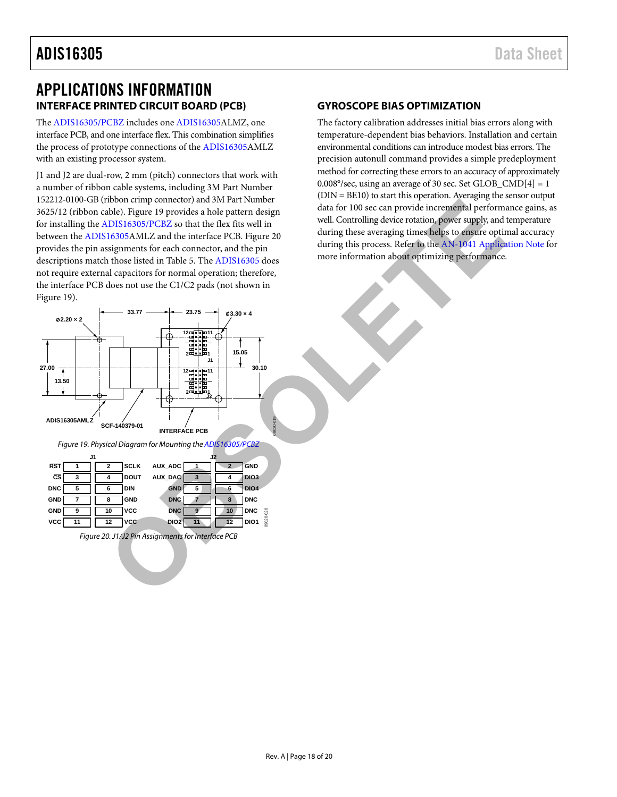# <span id="page-17-0"></span>APPLICATIONS INFORMATION **INTERFACE PRINTED CIRCUIT BOARD (PCB)**

<span id="page-17-1"></span>The [ADIS16305/PCBZ](http://www.analog.com/ADIS16305?doc=ADIS16305.pdf) includes one [ADIS16305A](http://www.analog.com/ADIS16305?doc=ADIS16305.pdf)LMZ, one interface PCB, and one interface flex. This combination simplifies the process of prototype connections of th[e ADIS16305A](http://www.analog.com/ADIS16305?doc=ADIS16305.pdf)MLZ with an existing processor system.

J1 and J2 are dual-row, 2 mm (pitch) connectors that work with a number of ribbon cable systems, including 3M Part Number 152212-0100-GB (ribbon crimp connector) and 3M Part Number 3625/12 (ribbon cable). Figure 19 provides a hole pattern design for installing the ADIS16305/PCBZ so that the flex fits well in between the [ADIS16305A](http://www.analog.com/ADIS16305?doc=ADIS16305.pdf)MLZ and the interface PCB. Figure 20 provides the pin assignments for each connector, and the pin descriptions match those listed in Table 5. The ADIS16305 does not require external capacitors for normal operation; therefore, the interface PCB does not use the C1/C2 pads (not shown in [Figure 19\)](#page-17-3).

#### <span id="page-17-2"></span>**GYROSCOPE BIAS OPTIMIZATION**

The factory calibration addresses initial bias errors along with temperature-dependent bias behaviors. Installation and certain environmental conditions can introduce modest bias errors. The precision autonull command provides a simple predeployment method for correcting these errors to an accuracy of approximately  $0.008^{\circ}/sec$ , using an average of 30 sec. Set GLOB\_CMD[4] = 1  $(DIN = BE10)$  to start this operation. Averaging the sensor output data for 100 sec can provide incremental performance gains, as well. Controlling device rotation, power supply, and temperature during these averaging times helps to ensure optimal accuracy during this process. Refer to the [AN-1041 Application Note](http://www.anlaog.com/AN-1041?doc=ADIS16305.pdf) for more information about optimizing performance.

<span id="page-17-4"></span><span id="page-17-3"></span>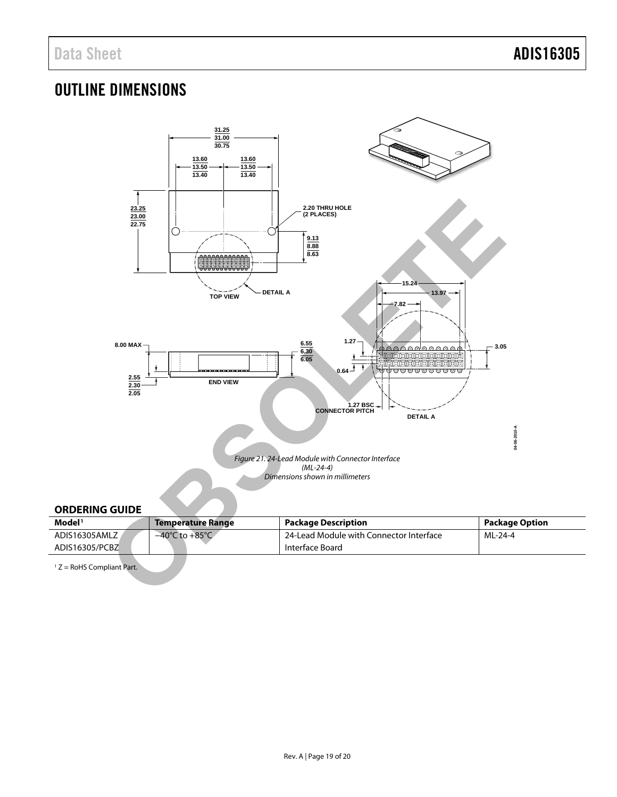# <span id="page-18-0"></span>OUTLINE DIMENSIONS



#### <span id="page-18-1"></span>**ORDERING GUIDE**

| Model <sup>1</sup> | Temperature Range                  | Package Description                     | <b>Package Option</b> |
|--------------------|------------------------------------|-----------------------------------------|-----------------------|
| ADIS16305AMLZ      | $-40^{\circ}$ C to $+85^{\circ}$ C | 24-Lead Module with Connector Interface | ML-24-4               |
| ADIS16305/PCBZ     |                                    | Interface Board                         |                       |

 $1 Z =$  RoHS Compliant Part.